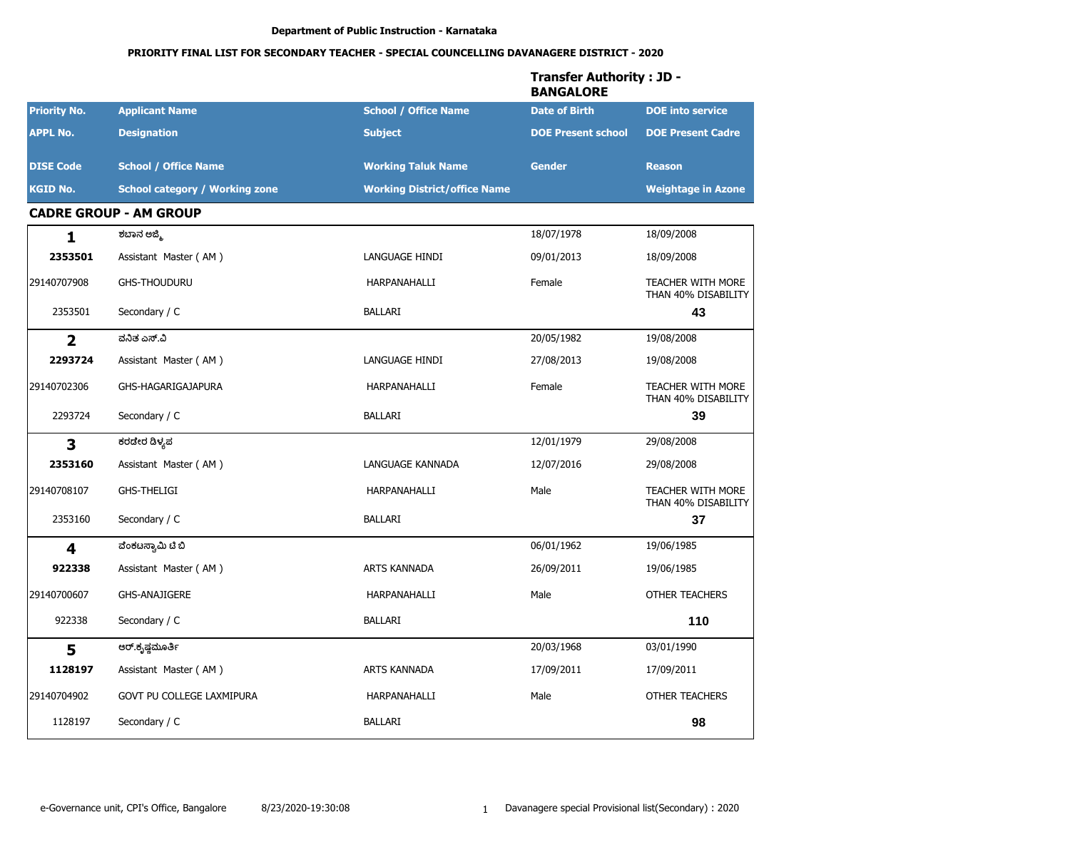|                         |                                       |                                     | <b>Transfer Authority: JD -</b><br><b>BANGALORE</b> |                                                 |
|-------------------------|---------------------------------------|-------------------------------------|-----------------------------------------------------|-------------------------------------------------|
| <b>Priority No.</b>     | <b>Applicant Name</b>                 | <b>School / Office Name</b>         | <b>Date of Birth</b>                                | <b>DOE</b> into service                         |
| <b>APPL No.</b>         | <b>Designation</b>                    | <b>Subject</b>                      | <b>DOE Present school</b>                           | <b>DOE Present Cadre</b>                        |
| <b>DISE Code</b>        | <b>School / Office Name</b>           | <b>Working Taluk Name</b>           | <b>Gender</b>                                       | <b>Reason</b>                                   |
| <b>KGID No.</b>         | <b>School category / Working zone</b> | <b>Working District/office Name</b> |                                                     | <b>Weightage in Azone</b>                       |
|                         | <b>CADRE GROUP - AM GROUP</b>         |                                     |                                                     |                                                 |
| 1                       | ಶಬಾನ ಅಜ್ಮಿ                            |                                     | 18/07/1978                                          | 18/09/2008                                      |
| 2353501                 | Assistant Master (AM)                 | LANGUAGE HINDI                      | 09/01/2013                                          | 18/09/2008                                      |
| 29140707908             | <b>GHS-THOUDURU</b>                   | HARPANAHALLI                        | Female                                              | <b>TEACHER WITH MORE</b><br>THAN 40% DISABILITY |
| 2353501                 | Secondary / C                         | <b>BALLARI</b>                      |                                                     | 43                                              |
| $\overline{2}$          | ವನಿತ ಎಸ್.ವಿ                           |                                     | 20/05/1982                                          | 19/08/2008                                      |
| 2293724                 | Assistant Master (AM)                 | LANGUAGE HINDI                      | 27/08/2013                                          | 19/08/2008                                      |
| 29140702306             | GHS-HAGARIGAJAPURA                    | HARPANAHALLI                        | Female                                              | <b>TEACHER WITH MORE</b><br>THAN 40% DISABILITY |
| 2293724                 | Secondary / C                         | <b>BALLARI</b>                      |                                                     | 39                                              |
| $\overline{\mathbf{3}}$ | ಕರಡೇರ ಡಿಳ್ಯಪ                          |                                     | 12/01/1979                                          | 29/08/2008                                      |
| 2353160                 | Assistant Master (AM)                 | LANGUAGE KANNADA                    | 12/07/2016                                          | 29/08/2008                                      |
| 29140708107             | <b>GHS-THELIGI</b>                    | HARPANAHALLI                        | Male                                                | TEACHER WITH MORE<br>THAN 40% DISABILITY        |
| 2353160                 | Secondary / C                         | <b>BALLARI</b>                      |                                                     | 37                                              |
| $\overline{\mathbf{4}}$ | ವೆಂಕಟಸ್ವಾಮಿ ಟಿ ಬಿ                     |                                     | 06/01/1962                                          | 19/06/1985                                      |
| 922338                  | Assistant Master (AM)                 | <b>ARTS KANNADA</b>                 | 26/09/2011                                          | 19/06/1985                                      |
| 29140700607             | <b>GHS-ANAJIGERE</b>                  | HARPANAHALLI                        | Male                                                | <b>OTHER TEACHERS</b>                           |
| 922338                  | Secondary / C                         | BALLARI                             |                                                     | 110                                             |
| 5                       | ಆರ್.ಕೃಷ್ಣಮೂರ್ತಿ                       |                                     | 20/03/1968                                          | 03/01/1990                                      |
| 1128197                 | Assistant Master (AM)                 | ARTS KANNADA                        | 17/09/2011                                          | 17/09/2011                                      |
| 29140704902             | GOVT PU COLLEGE LAXMIPURA             | HARPANAHALLI                        | Male                                                | OTHER TEACHERS                                  |
| 1128197                 | Secondary / C                         | BALLARI                             |                                                     | 98                                              |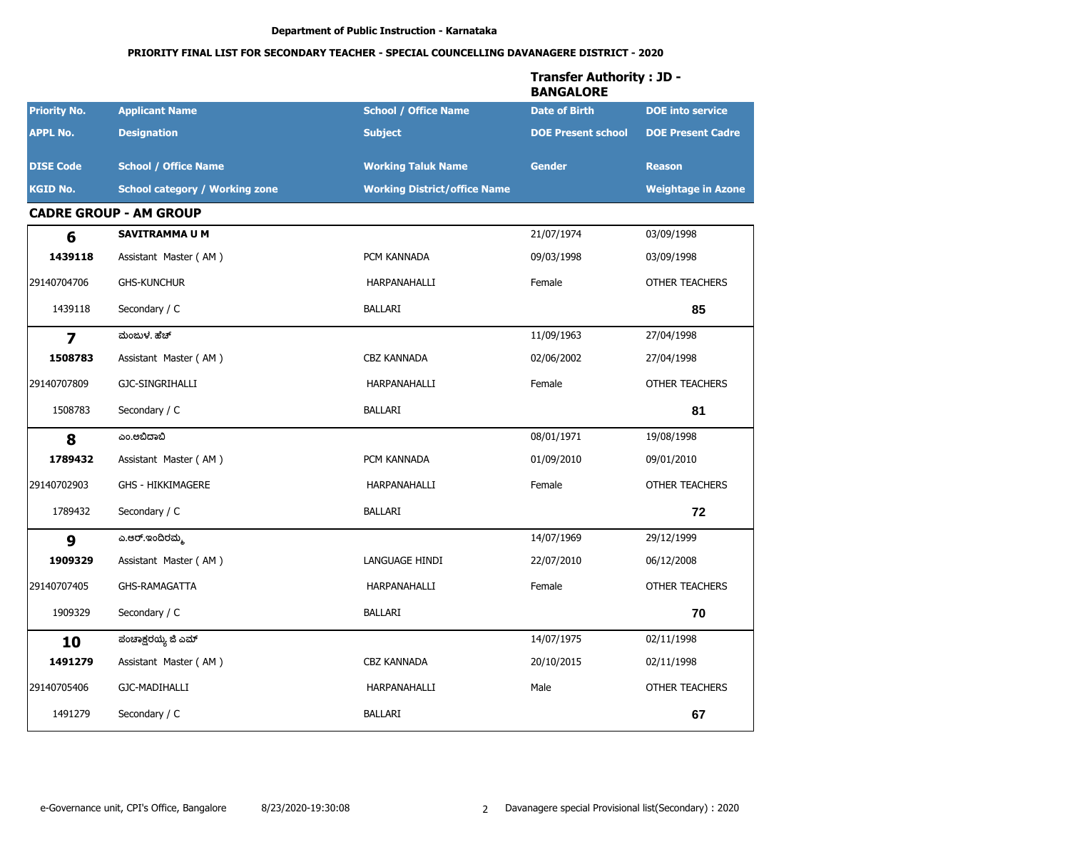|                         |                                       |                                     | <b>Transfer Authority: JD -</b><br><b>BANGALORE</b> |                           |
|-------------------------|---------------------------------------|-------------------------------------|-----------------------------------------------------|---------------------------|
| <b>Priority No.</b>     | <b>Applicant Name</b>                 | <b>School / Office Name</b>         | <b>Date of Birth</b>                                | <b>DOE</b> into service   |
| <b>APPL No.</b>         | <b>Designation</b>                    | <b>Subject</b>                      | <b>DOE Present school</b>                           | <b>DOE Present Cadre</b>  |
| <b>DISE Code</b>        | <b>School / Office Name</b>           | <b>Working Taluk Name</b>           | <b>Gender</b>                                       | <b>Reason</b>             |
| <b>KGID No.</b>         | <b>School category / Working zone</b> | <b>Working District/office Name</b> |                                                     | <b>Weightage in Azone</b> |
|                         | <b>CADRE GROUP - AM GROUP</b>         |                                     |                                                     |                           |
| 6                       | <b>SAVITRAMMA U M</b>                 |                                     | 21/07/1974                                          | 03/09/1998                |
| 1439118                 | Assistant Master (AM)                 | PCM KANNADA                         | 09/03/1998                                          | 03/09/1998                |
| 29140704706             | <b>GHS-KUNCHUR</b>                    | HARPANAHALLI                        | Female                                              | <b>OTHER TEACHERS</b>     |
| 1439118                 | Secondary / C                         | <b>BALLARI</b>                      |                                                     | 85                        |
| $\overline{\mathbf{z}}$ | ಮಂಜುಳ, ಹೆಚ್                           |                                     | 11/09/1963                                          | 27/04/1998                |
| 1508783                 | Assistant Master (AM)                 | <b>CBZ KANNADA</b>                  | 02/06/2002                                          | 27/04/1998                |
| 29140707809             | GJC-SINGRIHALLI                       | HARPANAHALLI                        | Female                                              | <b>OTHER TEACHERS</b>     |
| 1508783                 | Secondary / C                         | <b>BALLARI</b>                      |                                                     | 81                        |
| 8                       | ಎಂ.ಅಬಿದಾಬಿ                            |                                     | 08/01/1971                                          | 19/08/1998                |
| 1789432                 | Assistant Master (AM)                 | PCM KANNADA                         | 01/09/2010                                          | 09/01/2010                |
| 29140702903             | <b>GHS - HIKKIMAGERE</b>              | HARPANAHALLI                        | Female                                              | <b>OTHER TEACHERS</b>     |
| 1789432                 | Secondary / C                         | <b>BALLARI</b>                      |                                                     | 72                        |
| 9                       | ಎ.ಆರ್.ಇಂದಿರಮ್ಮ                        |                                     | 14/07/1969                                          | 29/12/1999                |
| 1909329                 | Assistant Master (AM)                 | LANGUAGE HINDI                      | 22/07/2010                                          | 06/12/2008                |
| 29140707405             | <b>GHS-RAMAGATTA</b>                  | HARPANAHALLI                        | Female                                              | <b>OTHER TEACHERS</b>     |
| 1909329                 | Secondary / C                         | <b>BALLARI</b>                      |                                                     | 70                        |
| 10                      | ಪಂಚಾಕ್ಷರಯ್ಯ ಜಿ ಎಮ್                    |                                     | 14/07/1975                                          | 02/11/1998                |
| 1491279                 | Assistant Master (AM)                 | CBZ KANNADA                         | 20/10/2015                                          | 02/11/1998                |
| 29140705406             | GJC-MADIHALLI                         | HARPANAHALLI                        | Male                                                | OTHER TEACHERS            |
| 1491279                 | Secondary / C                         | <b>BALLARI</b>                      |                                                     | 67                        |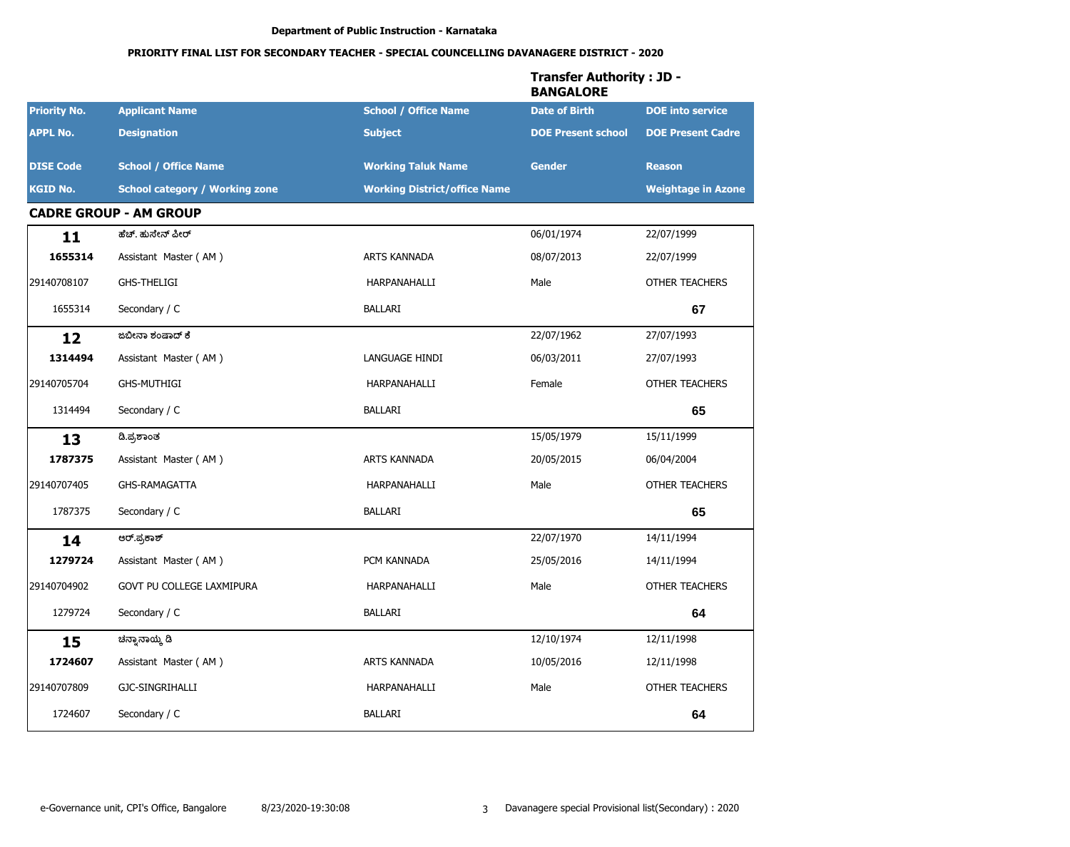|                     |                                       |                                     | <b>Transfer Authority: JD -</b><br><b>BANGALORE</b> |                           |
|---------------------|---------------------------------------|-------------------------------------|-----------------------------------------------------|---------------------------|
| <b>Priority No.</b> | <b>Applicant Name</b>                 | <b>School / Office Name</b>         | <b>Date of Birth</b>                                | <b>DOE</b> into service   |
| <b>APPL No.</b>     | <b>Designation</b>                    | <b>Subject</b>                      | <b>DOE Present school</b>                           | <b>DOE Present Cadre</b>  |
| <b>DISE Code</b>    | <b>School / Office Name</b>           | <b>Working Taluk Name</b>           | <b>Gender</b>                                       | <b>Reason</b>             |
| <b>KGID No.</b>     | <b>School category / Working zone</b> | <b>Working District/office Name</b> |                                                     | <b>Weightage in Azone</b> |
|                     | <b>CADRE GROUP - AM GROUP</b>         |                                     |                                                     |                           |
| 11                  | ಹೆಚ್. ಹುಸೇನ್ ಪೀರ್                     |                                     | 06/01/1974                                          | 22/07/1999                |
| 1655314             | Assistant Master (AM)                 | <b>ARTS KANNADA</b>                 | 08/07/2013                                          | 22/07/1999                |
| 29140708107         | <b>GHS-THELIGI</b>                    | HARPANAHALLI                        | Male                                                | <b>OTHER TEACHERS</b>     |
| 1655314             | Secondary / C                         | BALLARI                             |                                                     | 67                        |
| 12                  | ಜಬೀನಾ ಶಂಷಾದ್ ಕೆ                       |                                     | 22/07/1962                                          | 27/07/1993                |
| 1314494             | Assistant Master (AM)                 | LANGUAGE HINDI                      | 06/03/2011                                          | 27/07/1993                |
| 29140705704         | <b>GHS-MUTHIGI</b>                    | HARPANAHALLI                        | Female                                              | <b>OTHER TEACHERS</b>     |
| 1314494             | Secondary / C                         | <b>BALLARI</b>                      |                                                     | 65                        |
| 13                  | ಡಿ.ಪ್ರಶಾಂತ                            |                                     | 15/05/1979                                          | 15/11/1999                |
| 1787375             | Assistant Master (AM)                 | ARTS KANNADA                        | 20/05/2015                                          | 06/04/2004                |
| 29140707405         | GHS-RAMAGATTA                         | HARPANAHALLI                        | Male                                                | <b>OTHER TEACHERS</b>     |
| 1787375             | Secondary / C                         | BALLARI                             |                                                     | 65                        |
| 14                  | ಆರ್.ಪ್ರಕಾಶ್                           |                                     | 22/07/1970                                          | 14/11/1994                |
| 1279724             | Assistant Master (AM)                 | PCM KANNADA                         | 25/05/2016                                          | 14/11/1994                |
| 29140704902         | GOVT PU COLLEGE LAXMIPURA             | HARPANAHALLI                        | Male                                                | <b>OTHER TEACHERS</b>     |
| 1279724             | Secondary / C                         | <b>BALLARI</b>                      |                                                     | 64                        |
| 15                  | ಚನ್ನಾನಾಯ್ಕೆ ಡಿ                        |                                     | 12/10/1974                                          | 12/11/1998                |
| 1724607             | Assistant Master (AM)                 | ARTS KANNADA                        | 10/05/2016                                          | 12/11/1998                |
| 29140707809         | GJC-SINGRIHALLI                       | HARPANAHALLI                        | Male                                                | OTHER TEACHERS            |
| 1724607             | Secondary / C                         | BALLARI                             |                                                     | 64                        |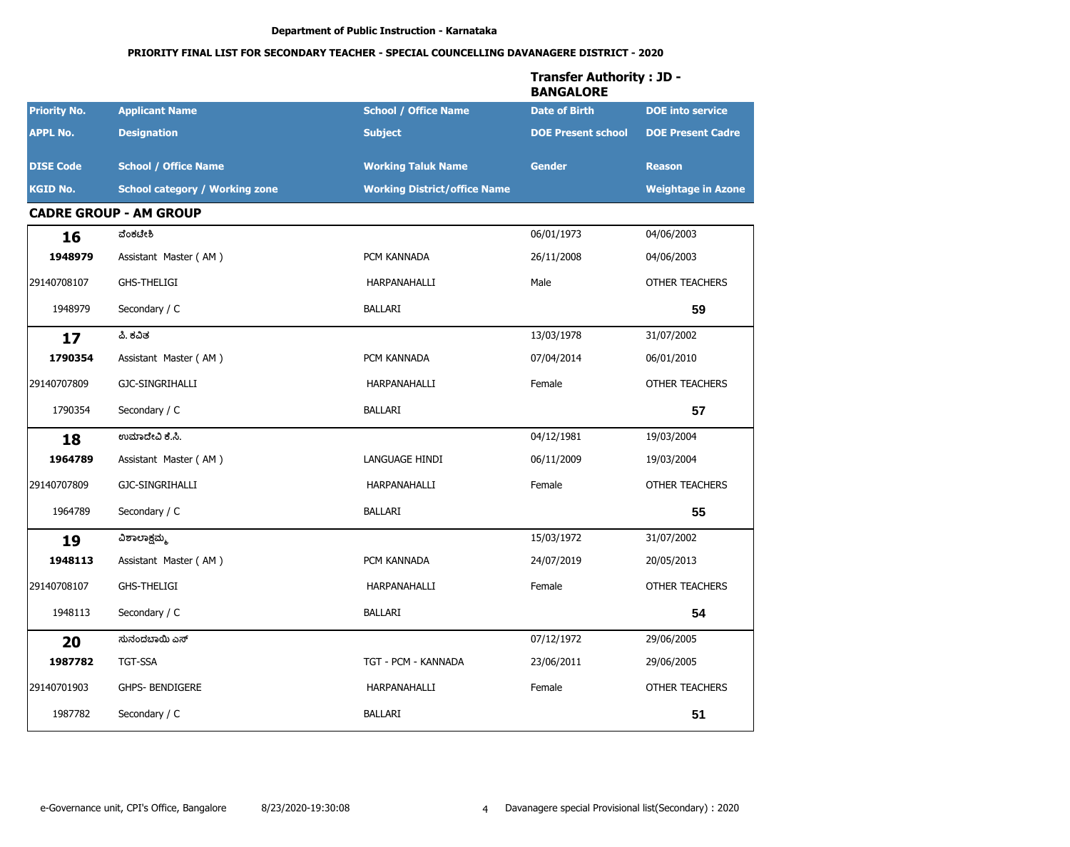|                     |                                       |                                     | <b>Transfer Authority: JD -</b><br><b>BANGALORE</b> |                           |
|---------------------|---------------------------------------|-------------------------------------|-----------------------------------------------------|---------------------------|
| <b>Priority No.</b> | <b>Applicant Name</b>                 | <b>School / Office Name</b>         | <b>Date of Birth</b>                                | <b>DOE</b> into service   |
| <b>APPL No.</b>     | <b>Designation</b>                    | <b>Subject</b>                      | <b>DOE Present school</b>                           | <b>DOE Present Cadre</b>  |
| <b>DISE Code</b>    | <b>School / Office Name</b>           | <b>Working Taluk Name</b>           | <b>Gender</b>                                       | <b>Reason</b>             |
| <b>KGID No.</b>     | <b>School category / Working zone</b> | <b>Working District/office Name</b> |                                                     | <b>Weightage in Azone</b> |
|                     | <b>CADRE GROUP - AM GROUP</b>         |                                     |                                                     |                           |
| 16                  | ವೆಂಕಟೇಶಿ                              |                                     | 06/01/1973                                          | 04/06/2003                |
| 1948979             | Assistant Master (AM)                 | PCM KANNADA                         | 26/11/2008                                          | 04/06/2003                |
| 29140708107         | <b>GHS-THELIGI</b>                    | HARPANAHALLI                        | Male                                                | <b>OTHER TEACHERS</b>     |
| 1948979             | Secondary / C                         | <b>BALLARI</b>                      |                                                     | 59                        |
| 17                  | ಪಿ. ಕವಿತ                              |                                     | 13/03/1978                                          | 31/07/2002                |
| 1790354             | Assistant Master (AM)                 | PCM KANNADA                         | 07/04/2014                                          | 06/01/2010                |
| 29140707809         | GJC-SINGRIHALLI                       | HARPANAHALLI                        | Female                                              | <b>OTHER TEACHERS</b>     |
| 1790354             | Secondary / C                         | BALLARI                             |                                                     | 57                        |
| 18                  | ಉಮಾದೇವಿ ಕೆ.ಸಿ.                        |                                     | 04/12/1981                                          | 19/03/2004                |
| 1964789             | Assistant Master (AM)                 | LANGUAGE HINDI                      | 06/11/2009                                          | 19/03/2004                |
| 29140707809         | GJC-SINGRIHALLI                       | HARPANAHALLI                        | Female                                              | <b>OTHER TEACHERS</b>     |
| 1964789             | Secondary / C                         | <b>BALLARI</b>                      |                                                     | 55                        |
| 19                  | ವಿಶಾಲಾಕ್ಷಮ್ಮ                          |                                     | 15/03/1972                                          | 31/07/2002                |
| 1948113             | Assistant Master (AM)                 | PCM KANNADA                         | 24/07/2019                                          | 20/05/2013                |
| 29140708107         | <b>GHS-THELIGI</b>                    | HARPANAHALLI                        | Female                                              | <b>OTHER TEACHERS</b>     |
| 1948113             | Secondary / C                         | BALLARI                             |                                                     | 54                        |
| 20                  | ಸುನಂದಬಾಯಿ ಎಸ್                         |                                     | 07/12/1972                                          | 29/06/2005                |
| 1987782             | TGT-SSA                               | TGT - PCM - KANNADA                 | 23/06/2011                                          | 29/06/2005                |
| 29140701903         | GHPS- BENDIGERE                       | HARPANAHALLI                        | Female                                              | OTHER TEACHERS            |
| 1987782             | Secondary / C                         | BALLARI                             |                                                     | 51                        |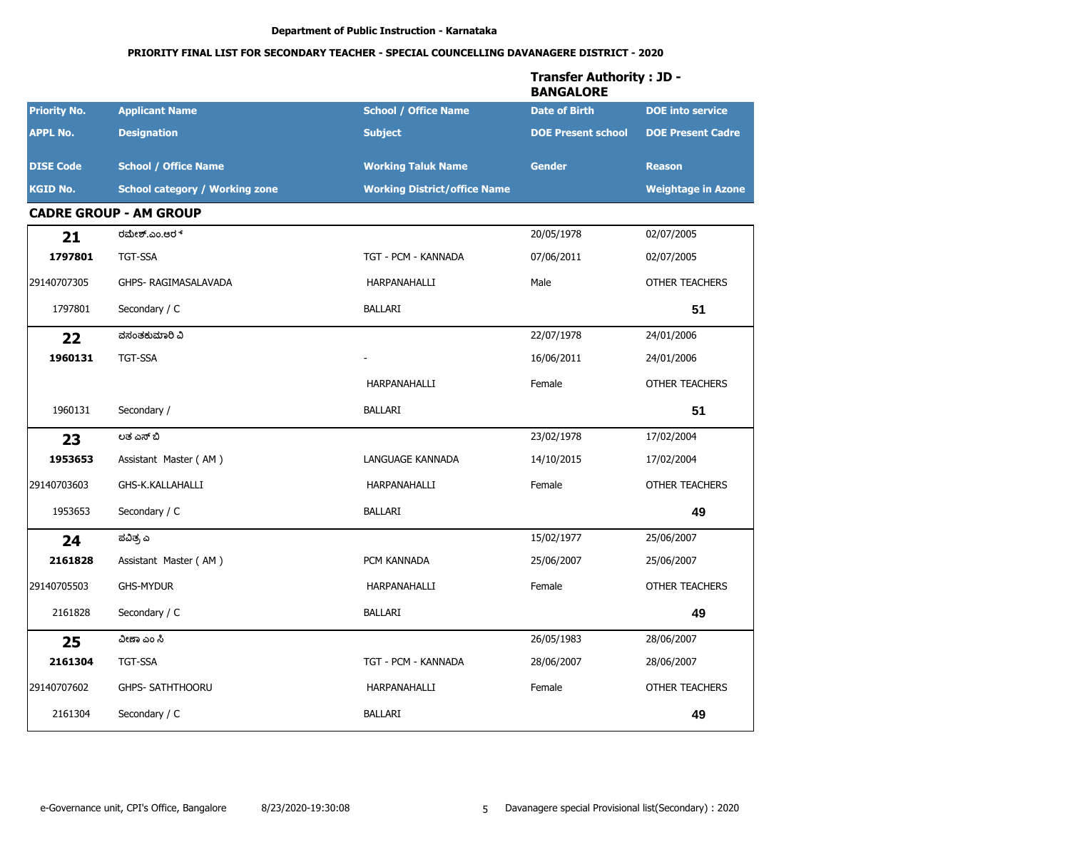# PRIORITY FINAL LIST FOR SECONDARY TEACHER - SPECIAL COUNCELLING DAVANAGERE DISTRICT - 2020

|                     |                                       |                                     | Transfer Authority : JD -<br><b>BANGALORE</b> |                           |
|---------------------|---------------------------------------|-------------------------------------|-----------------------------------------------|---------------------------|
| <b>Priority No.</b> | <b>Applicant Name</b>                 | <b>School / Office Name</b>         | <b>Date of Birth</b>                          | <b>DOE</b> into service   |
| <b>APPL No.</b>     | <b>Designation</b>                    | <b>Subject</b>                      | <b>DOE Present school</b>                     | <b>DOE Present Cadre</b>  |
| <b>DISE Code</b>    | <b>School / Office Name</b>           | <b>Working Taluk Name</b>           | <b>Gender</b>                                 | <b>Reason</b>             |
| <b>KGID No.</b>     | <b>School category / Working zone</b> | <b>Working District/office Name</b> |                                               | <b>Weightage in Azone</b> |
|                     | <b>CADRE GROUP - AM GROUP</b>         |                                     |                                               |                           |
| 21                  | ರಮೇಶ್.ಎಂ.ಆರ್                          |                                     | 20/05/1978                                    | 02/07/2005                |
| 1797801             | <b>TGT-SSA</b>                        | TGT - PCM - KANNADA                 | 07/06/2011                                    | 02/07/2005                |
| 29140707305         | GHPS- RAGIMASALAVADA                  | HARPANAHALLI                        | Male                                          | <b>OTHER TEACHERS</b>     |
| 1797801             | Secondary / C                         | <b>BALLARI</b>                      |                                               | 51                        |
| 22                  | ವಸಂತಕುಮಾರಿ ವಿ                         |                                     | 22/07/1978                                    | 24/01/2006                |
| 1960131             | TGT-SSA                               |                                     | 16/06/2011                                    | 24/01/2006                |
|                     |                                       | HARPANAHALLI                        | Female                                        | <b>OTHER TEACHERS</b>     |
| 1960131             | Secondary /                           | <b>BALLARI</b>                      |                                               | 51                        |
| 23                  | ಲತೆ ಎಸ್ ಬಿ                            |                                     | 23/02/1978                                    | 17/02/2004                |
| 1953653             | Assistant Master (AM)                 | LANGUAGE KANNADA                    | 14/10/2015                                    | 17/02/2004                |
| 29140703603         | GHS-K.KALLAHALLI                      | HARPANAHALLI                        | Female                                        | <b>OTHER TEACHERS</b>     |
| 1953653             | Secondary / C                         | <b>BALLARI</b>                      |                                               | 49                        |
| 24                  | ಪವಿತ್ರ ಎ                              |                                     | 15/02/1977                                    | 25/06/2007                |
| 2161828             | Assistant Master (AM)                 | PCM KANNADA                         | 25/06/2007                                    | 25/06/2007                |
| 29140705503         | <b>GHS-MYDUR</b>                      | HARPANAHALLI                        | Female                                        | <b>OTHER TEACHERS</b>     |
| 2161828             | Secondary / C                         | <b>BALLARI</b>                      |                                               | 49                        |
| 25                  | ವೀಣಾ ಎಂ ಸಿ                            |                                     | 26/05/1983                                    | 28/06/2007                |
| 2161304             | TGT-SSA                               | TGT - PCM - KANNADA                 | 28/06/2007                                    | 28/06/2007                |
| 29140707602         | GHPS- SATHTHOORU                      | HARPANAHALLI                        | Female                                        | OTHER TEACHERS            |
| 2161304             | Secondary / C                         | <b>BALLARI</b>                      |                                               | 49                        |

# -fau Autherit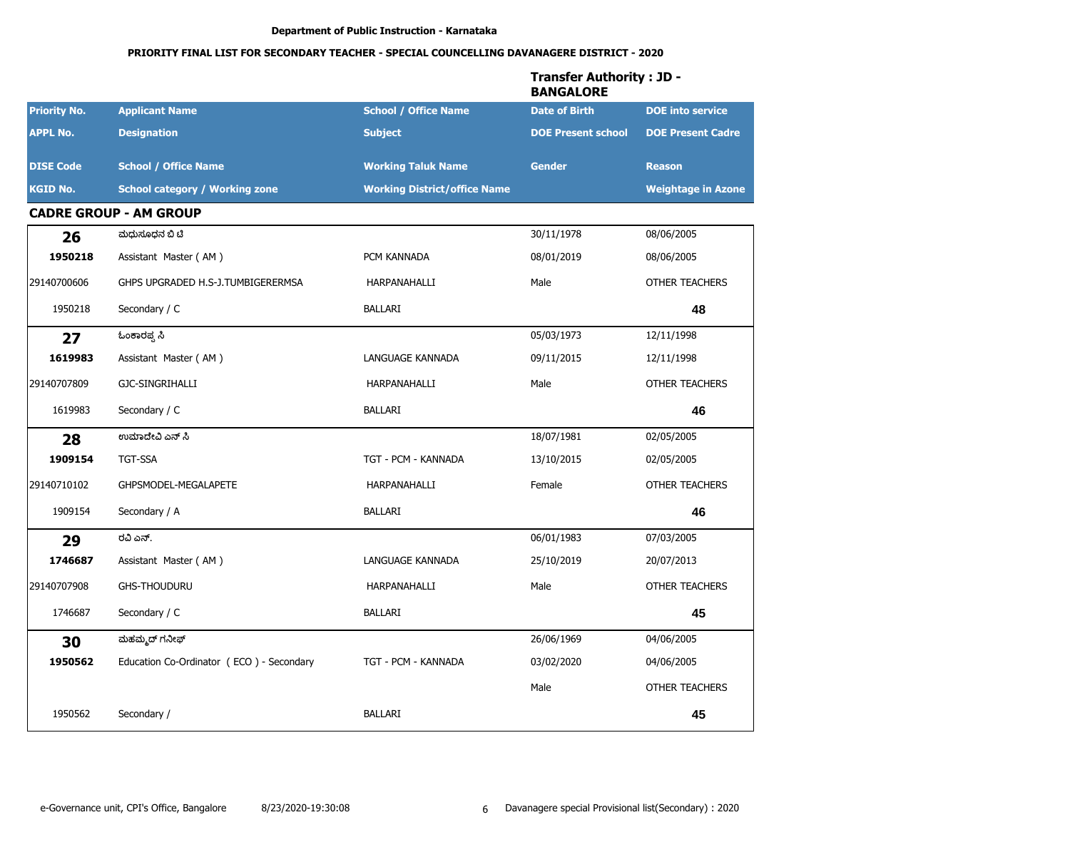|                     |                                          |                                     | <b>Transfer Authority: JD -</b><br><b>BANGALORE</b> | <b>DOE</b> into service<br><b>DOE Present Cadre</b><br><b>Reason</b><br><b>Weightage in Azone</b><br>08/06/2005<br>08/06/2005<br><b>OTHER TEACHERS</b><br>48<br>12/11/1998<br>12/11/1998<br><b>OTHER TEACHERS</b><br>46<br>02/05/2005<br>02/05/2005<br><b>OTHER TEACHERS</b><br>46<br>07/03/2005<br>20/07/2013 |
|---------------------|------------------------------------------|-------------------------------------|-----------------------------------------------------|----------------------------------------------------------------------------------------------------------------------------------------------------------------------------------------------------------------------------------------------------------------------------------------------------------------|
| <b>Priority No.</b> | <b>Applicant Name</b>                    | <b>School / Office Name</b>         | <b>Date of Birth</b>                                |                                                                                                                                                                                                                                                                                                                |
| <b>APPL No.</b>     | <b>Designation</b>                       | <b>Subject</b>                      | <b>DOE Present school</b>                           |                                                                                                                                                                                                                                                                                                                |
| <b>DISE Code</b>    | <b>School / Office Name</b>              | <b>Working Taluk Name</b>           | <b>Gender</b>                                       |                                                                                                                                                                                                                                                                                                                |
| <b>KGID No.</b>     | <b>School category / Working zone</b>    | <b>Working District/office Name</b> |                                                     |                                                                                                                                                                                                                                                                                                                |
|                     | <b>CADRE GROUP - AM GROUP</b>            |                                     |                                                     |                                                                                                                                                                                                                                                                                                                |
| 26                  | ಮಧುಸೂಧನ ಬಿ ಟಿ                            |                                     | 30/11/1978                                          |                                                                                                                                                                                                                                                                                                                |
| 1950218             | Assistant Master (AM)                    | PCM KANNADA                         | 08/01/2019                                          |                                                                                                                                                                                                                                                                                                                |
| 29140700606         | GHPS UPGRADED H.S-J.TUMBIGERERMSA        | HARPANAHALLI                        | Male                                                |                                                                                                                                                                                                                                                                                                                |
| 1950218             | Secondary / C                            | <b>BALLARI</b>                      |                                                     |                                                                                                                                                                                                                                                                                                                |
| 27                  | ಓಂಕಾರಪ್ಪ ಸಿ                              |                                     | 05/03/1973                                          |                                                                                                                                                                                                                                                                                                                |
| 1619983             | Assistant Master (AM)                    | LANGUAGE KANNADA                    | 09/11/2015                                          |                                                                                                                                                                                                                                                                                                                |
| 29140707809         | GJC-SINGRIHALLI                          | HARPANAHALLI                        | Male                                                |                                                                                                                                                                                                                                                                                                                |
| 1619983             | Secondary / C                            | BALLARI                             |                                                     |                                                                                                                                                                                                                                                                                                                |
| 28                  | ಉಮಾದೇವಿ ಎನ್ ಸಿ                           |                                     | 18/07/1981                                          |                                                                                                                                                                                                                                                                                                                |
| 1909154             | <b>TGT-SSA</b>                           | TGT - PCM - KANNADA                 | 13/10/2015                                          |                                                                                                                                                                                                                                                                                                                |
| 29140710102         | GHPSMODEL-MEGALAPETE                     | HARPANAHALLI                        | Female                                              |                                                                                                                                                                                                                                                                                                                |
| 1909154             | Secondary / A                            | BALLARI                             |                                                     |                                                                                                                                                                                                                                                                                                                |
| 29                  | ರವಿ ಎನ್.                                 |                                     | 06/01/1983                                          |                                                                                                                                                                                                                                                                                                                |
| 1746687             | Assistant Master (AM)                    | LANGUAGE KANNADA                    | 25/10/2019                                          |                                                                                                                                                                                                                                                                                                                |
| 29140707908         | <b>GHS-THOUDURU</b>                      | HARPANAHALLI                        | Male                                                | <b>OTHER TEACHERS</b>                                                                                                                                                                                                                                                                                          |
| 1746687             | Secondary / C                            | <b>BALLARI</b>                      |                                                     | 45                                                                                                                                                                                                                                                                                                             |
| 30                  | ಮಹಮ್ಮದ್ ಗನೀಫ್                            |                                     | 26/06/1969                                          | 04/06/2005                                                                                                                                                                                                                                                                                                     |
| 1950562             | Education Co-Ordinator (ECO) - Secondary | TGT - PCM - KANNADA                 | 03/02/2020                                          | 04/06/2005                                                                                                                                                                                                                                                                                                     |
|                     |                                          |                                     | Male                                                | OTHER TEACHERS                                                                                                                                                                                                                                                                                                 |
| 1950562             | Secondary /                              | BALLARI                             |                                                     | 45                                                                                                                                                                                                                                                                                                             |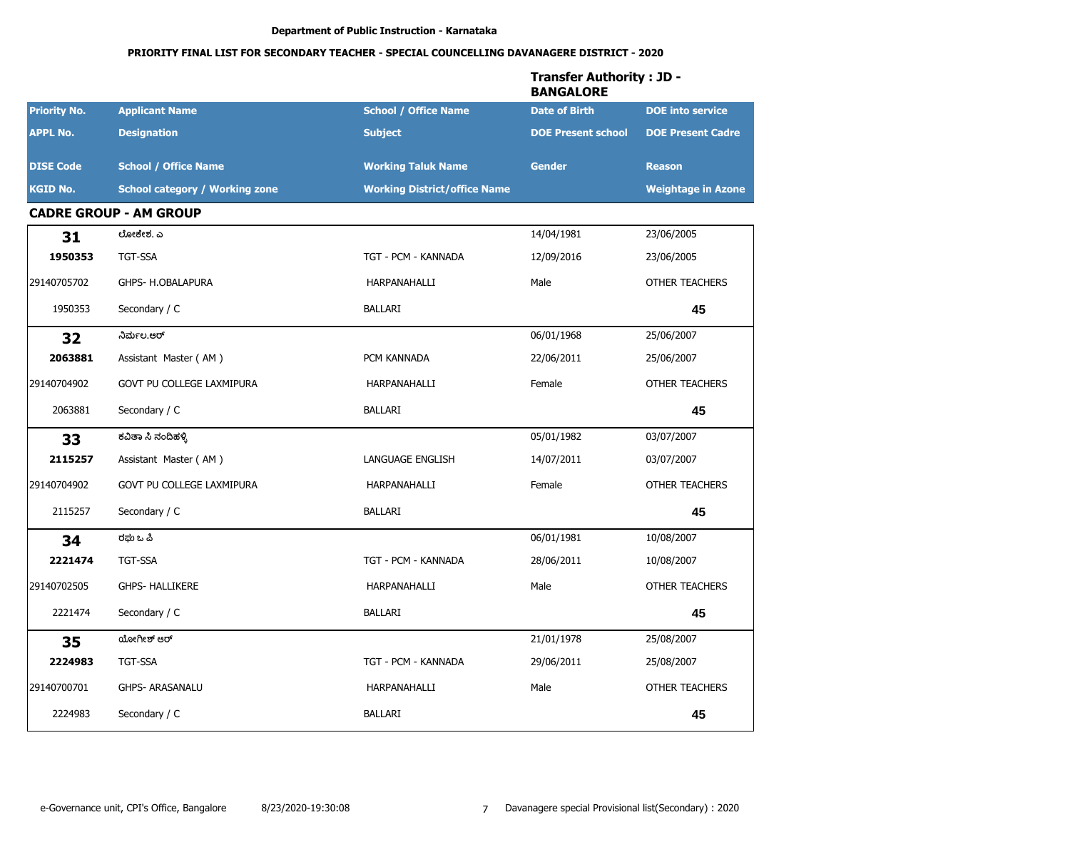|                     |                                       |                                     | <b>Transfer Authority: JD -</b><br><b>BANGALORE</b> |                           |
|---------------------|---------------------------------------|-------------------------------------|-----------------------------------------------------|---------------------------|
| <b>Priority No.</b> | <b>Applicant Name</b>                 | <b>School / Office Name</b>         | <b>Date of Birth</b>                                | <b>DOE</b> into service   |
| <b>APPL No.</b>     | <b>Designation</b>                    | <b>Subject</b>                      | <b>DOE Present school</b>                           | <b>DOE Present Cadre</b>  |
| <b>DISE Code</b>    | <b>School / Office Name</b>           | <b>Working Taluk Name</b>           | <b>Gender</b>                                       | <b>Reason</b>             |
| <b>KGID No.</b>     | <b>School category / Working zone</b> | <b>Working District/office Name</b> |                                                     | <b>Weightage in Azone</b> |
|                     | <b>CADRE GROUP - AM GROUP</b>         |                                     |                                                     |                           |
| 31                  | ಲೋಕೇಶ. ಎ                              |                                     | 14/04/1981                                          | 23/06/2005                |
| 1950353             | <b>TGT-SSA</b>                        | TGT - PCM - KANNADA                 | 12/09/2016                                          | 23/06/2005                |
| 29140705702         | GHPS- H.OBALAPURA                     | HARPANAHALLI                        | Male                                                | <b>OTHER TEACHERS</b>     |
| 1950353             | Secondary / C                         | <b>BALLARI</b>                      |                                                     | 45                        |
| 32                  | ನಿರ್ಮಲ.ಆರ್                            |                                     | 06/01/1968                                          | 25/06/2007                |
| 2063881             | Assistant Master (AM)                 | PCM KANNADA                         | 22/06/2011                                          | 25/06/2007                |
| 29140704902         | GOVT PU COLLEGE LAXMIPURA             | HARPANAHALLI                        | Female                                              | OTHER TEACHERS            |
| 2063881             | Secondary / C                         | <b>BALLARI</b>                      |                                                     | 45                        |
| 33                  | ಕವಿತಾ ಸಿ ನಂದಿಹಳ್ಳಿ                    |                                     | 05/01/1982                                          | 03/07/2007                |
| 2115257             | Assistant Master (AM)                 | LANGUAGE ENGLISH                    | 14/07/2011                                          | 03/07/2007                |
| 29140704902         | GOVT PU COLLEGE LAXMIPURA             | HARPANAHALLI                        | Female                                              | <b>OTHER TEACHERS</b>     |
| 2115257             | Secondary / C                         | <b>BALLARI</b>                      |                                                     | 45                        |
| 34                  | ರಘು ಒ ಪಿ                              |                                     | 06/01/1981                                          | 10/08/2007                |
| 2221474             | <b>TGT-SSA</b>                        | TGT - PCM - KANNADA                 | 28/06/2011                                          | 10/08/2007                |
| 29140702505         | <b>GHPS- HALLIKERE</b>                | HARPANAHALLI                        | Male                                                | <b>OTHER TEACHERS</b>     |
| 2221474             | Secondary / C                         | <b>BALLARI</b>                      |                                                     | 45                        |
| 35                  | ಯೋಗೀಶ್ ಆರ್                            |                                     | 21/01/1978                                          | 25/08/2007                |
| 2224983             | TGT-SSA                               | TGT - PCM - KANNADA                 | 29/06/2011                                          | 25/08/2007                |
| 29140700701         | GHPS- ARASANALU                       | HARPANAHALLI                        | Male                                                | OTHER TEACHERS            |
| 2224983             | Secondary / C                         | BALLARI                             |                                                     | 45                        |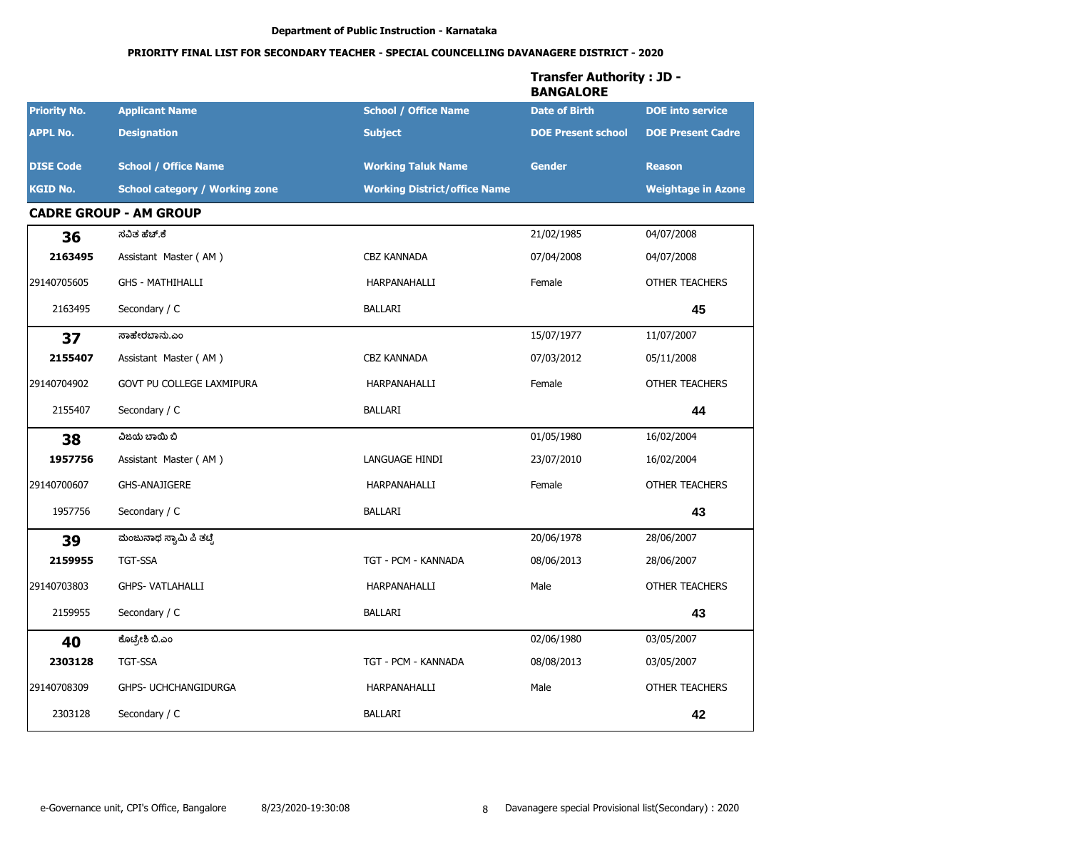|                     |                                       |                                     | <b>Transfer Authority: JD -</b><br><b>BANGALORE</b> |                           |
|---------------------|---------------------------------------|-------------------------------------|-----------------------------------------------------|---------------------------|
| <b>Priority No.</b> | <b>Applicant Name</b>                 | <b>School / Office Name</b>         | <b>Date of Birth</b>                                | <b>DOE</b> into service   |
| <b>APPL No.</b>     | <b>Designation</b>                    | <b>Subject</b>                      | <b>DOE Present school</b>                           | <b>DOE Present Cadre</b>  |
| <b>DISE Code</b>    | <b>School / Office Name</b>           | <b>Working Taluk Name</b>           | <b>Gender</b>                                       | <b>Reason</b>             |
| <b>KGID No.</b>     | <b>School category / Working zone</b> | <b>Working District/office Name</b> |                                                     | <b>Weightage in Azone</b> |
|                     | <b>CADRE GROUP - AM GROUP</b>         |                                     |                                                     |                           |
| 36                  | ಸವಿತ ಹೆಚ್.ಕೆ                          |                                     | 21/02/1985                                          | 04/07/2008                |
| 2163495             | Assistant Master (AM)                 | <b>CBZ KANNADA</b>                  | 07/04/2008                                          | 04/07/2008                |
| 29140705605         | <b>GHS - MATHIHALLI</b>               | HARPANAHALLI                        | Female                                              | <b>OTHER TEACHERS</b>     |
| 2163495             | Secondary / C                         | <b>BALLARI</b>                      |                                                     | 45                        |
| 37                  | ಸಾಹೇರಬಾನು.ಎಂ                          |                                     | 15/07/1977                                          | 11/07/2007                |
| 2155407             | Assistant Master (AM)                 | <b>CBZ KANNADA</b>                  | 07/03/2012                                          | 05/11/2008                |
| 29140704902         | <b>GOVT PU COLLEGE LAXMIPURA</b>      | HARPANAHALLI                        | Female                                              | <b>OTHER TEACHERS</b>     |
| 2155407             | Secondary / C                         | <b>BALLARI</b>                      |                                                     | 44                        |
| 38                  | ವಿಜಯ ಬಾಯಿ ಬಿ                          |                                     | 01/05/1980                                          | 16/02/2004                |
| 1957756             | Assistant Master (AM)                 | LANGUAGE HINDI                      | 23/07/2010                                          | 16/02/2004                |
| 29140700607         | <b>GHS-ANAJIGERE</b>                  | HARPANAHALLI                        | Female                                              | <b>OTHER TEACHERS</b>     |
| 1957756             | Secondary / C                         | <b>BALLARI</b>                      |                                                     | 43                        |
| 39                  | ಮಂಜುನಾಥ ಸ್ವಾಮಿ ಪಿ ತಟ್ಟೆ               |                                     | 20/06/1978                                          | 28/06/2007                |
| 2159955             | TGT-SSA                               | TGT - PCM - KANNADA                 | 08/06/2013                                          | 28/06/2007                |
| 29140703803         | <b>GHPS- VATLAHALLI</b>               | HARPANAHALLI                        | Male                                                | <b>OTHER TEACHERS</b>     |
| 2159955             | Secondary / C                         | <b>BALLARI</b>                      |                                                     | 43                        |
| 40                  | ಕೊಟ್ರೇಶಿ ಬಿ.ಎಂ                        |                                     | 02/06/1980                                          | 03/05/2007                |
| 2303128             | TGT-SSA                               | TGT - PCM - KANNADA                 | 08/08/2013                                          | 03/05/2007                |
| 29140708309         | GHPS- UCHCHANGIDURGA                  | HARPANAHALLI                        | Male                                                | OTHER TEACHERS            |
| 2303128             | Secondary / C                         | <b>BALLARI</b>                      |                                                     | 42                        |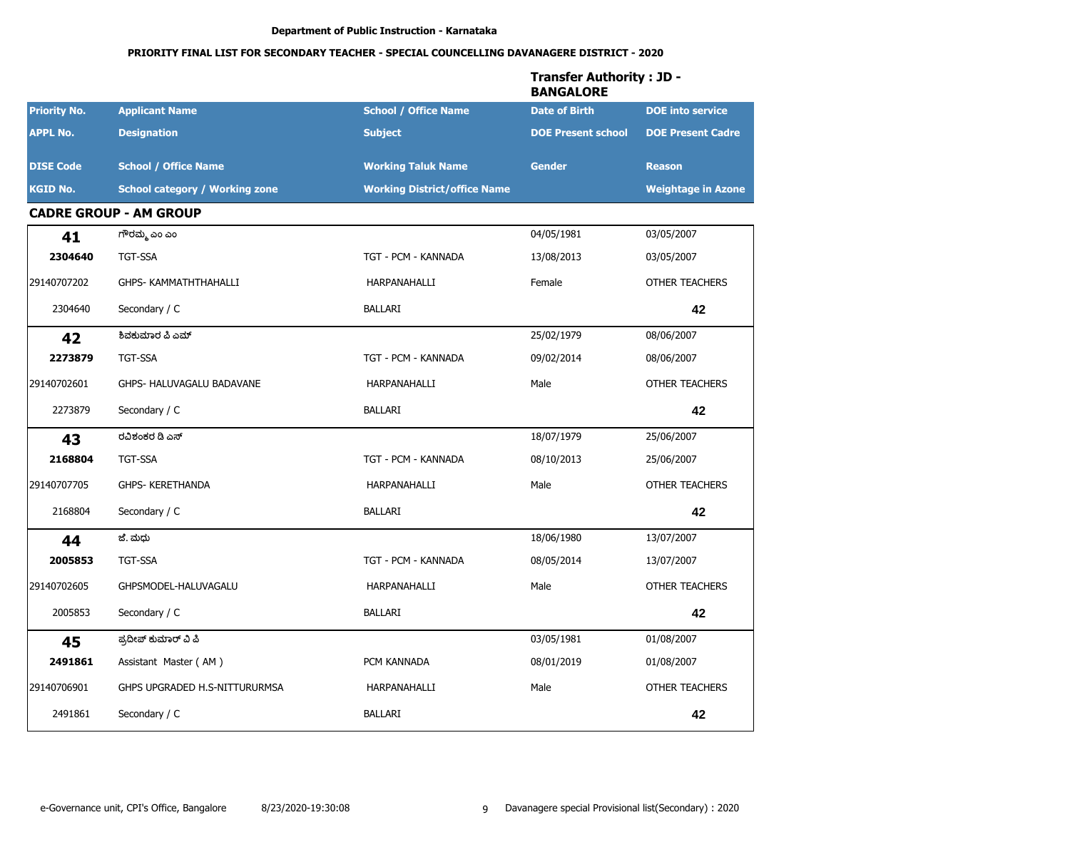|                     |                                       |                                     | <b>Transfer Authority: JD -</b><br><b>BANGALORE</b> |                           |
|---------------------|---------------------------------------|-------------------------------------|-----------------------------------------------------|---------------------------|
| <b>Priority No.</b> | <b>Applicant Name</b>                 | <b>School / Office Name</b>         | <b>Date of Birth</b>                                | <b>DOE</b> into service   |
| <b>APPL No.</b>     | <b>Designation</b>                    | <b>Subject</b>                      | <b>DOE Present school</b>                           | <b>DOE Present Cadre</b>  |
| <b>DISE Code</b>    | <b>School / Office Name</b>           | <b>Working Taluk Name</b>           | <b>Gender</b>                                       | <b>Reason</b>             |
| <b>KGID No.</b>     | <b>School category / Working zone</b> | <b>Working District/office Name</b> |                                                     | <b>Weightage in Azone</b> |
|                     | <b>CADRE GROUP - AM GROUP</b>         |                                     |                                                     |                           |
| 41                  | ಗೌರಮ್ಮ ಎಂ ಎಂ                          |                                     | 04/05/1981                                          | 03/05/2007                |
| 2304640             | <b>TGT-SSA</b>                        | TGT - PCM - KANNADA                 | 13/08/2013                                          | 03/05/2007                |
| 29140707202         | GHPS- KAMMATHTHAHALLI                 | HARPANAHALLI                        | Female                                              | <b>OTHER TEACHERS</b>     |
| 2304640             | Secondary / C                         | <b>BALLARI</b>                      |                                                     | 42                        |
| 42                  | ಶಿವಕುಮಾರ ಪಿ ಎಮ್                       |                                     | 25/02/1979                                          | 08/06/2007                |
| 2273879             | <b>TGT-SSA</b>                        | TGT - PCM - KANNADA                 | 09/02/2014                                          | 08/06/2007                |
| 29140702601         | GHPS- HALUVAGALU BADAVANE             | HARPANAHALLI                        | Male                                                | OTHER TEACHERS            |
| 2273879             | Secondary / C                         | <b>BALLARI</b>                      |                                                     | 42                        |
| 43                  | ರವಿಶಂಕರ ಡಿ ಎಸ್                        |                                     | 18/07/1979                                          | 25/06/2007                |
| 2168804             | <b>TGT-SSA</b>                        | TGT - PCM - KANNADA                 | 08/10/2013                                          | 25/06/2007                |
| 29140707705         | <b>GHPS- KERETHANDA</b>               | HARPANAHALLI                        | Male                                                | <b>OTHER TEACHERS</b>     |
| 2168804             | Secondary / C                         | <b>BALLARI</b>                      |                                                     | 42                        |
| 44                  | ಜೆ. ಮಧು                               |                                     | 18/06/1980                                          | 13/07/2007                |
| 2005853             | <b>TGT-SSA</b>                        | TGT - PCM - KANNADA                 | 08/05/2014                                          | 13/07/2007                |
| 29140702605         | GHPSMODEL-HALUVAGALU                  | HARPANAHALLI                        | Male                                                | <b>OTHER TEACHERS</b>     |
| 2005853             | Secondary / C                         | <b>BALLARI</b>                      |                                                     | 42                        |
| 45                  | ಪ್ರದೀಪ್ ಕುಮಾರ್ ವಿ ಪಿ                  |                                     | 03/05/1981                                          | 01/08/2007                |
| 2491861             | Assistant Master (AM)                 | PCM KANNADA                         | 08/01/2019                                          | 01/08/2007                |
| 29140706901         | GHPS UPGRADED H.S-NITTURURMSA         | HARPANAHALLI                        | Male                                                | OTHER TEACHERS            |
| 2491861             | Secondary / C                         | BALLARI                             |                                                     | 42                        |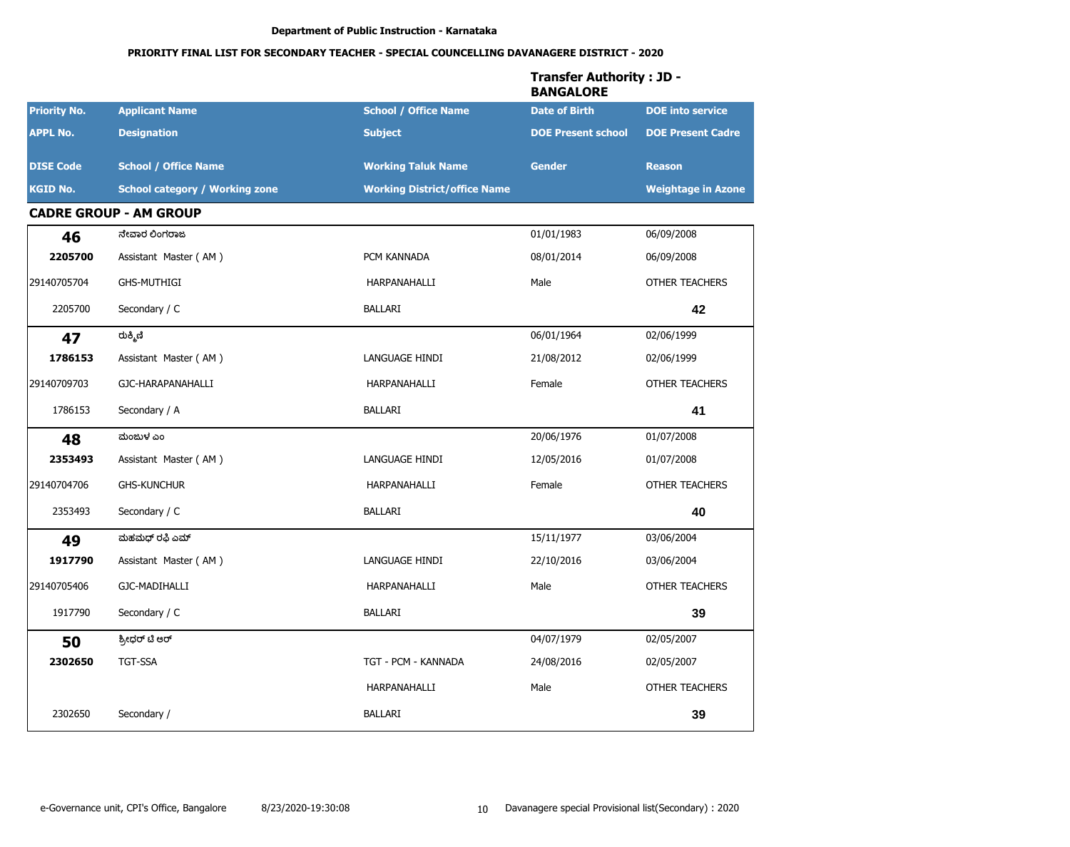|                     |                                       |                                     | <b>Transfer Authority: JD -</b><br><b>BANGALORE</b> |                           |
|---------------------|---------------------------------------|-------------------------------------|-----------------------------------------------------|---------------------------|
| <b>Priority No.</b> | <b>Applicant Name</b>                 | <b>School / Office Name</b>         | <b>Date of Birth</b>                                | <b>DOE</b> into service   |
| <b>APPL No.</b>     | <b>Designation</b>                    | <b>Subject</b>                      | <b>DOE Present school</b>                           | <b>DOE Present Cadre</b>  |
| <b>DISE Code</b>    | <b>School / Office Name</b>           | <b>Working Taluk Name</b>           | <b>Gender</b>                                       | <b>Reason</b>             |
| <b>KGID No.</b>     | <b>School category / Working zone</b> | <b>Working District/office Name</b> |                                                     | <b>Weightage in Azone</b> |
|                     | <b>CADRE GROUP - AM GROUP</b>         |                                     |                                                     |                           |
| 46                  | ನೇವಾರ ಲಿಂಗರಾಜ                         |                                     | 01/01/1983                                          | 06/09/2008                |
| 2205700             | Assistant Master (AM)                 | PCM KANNADA                         | 08/01/2014                                          | 06/09/2008                |
| 29140705704         | <b>GHS-MUTHIGI</b>                    | HARPANAHALLI                        | Male                                                | <b>OTHER TEACHERS</b>     |
| 2205700             | Secondary / C                         | <b>BALLARI</b>                      |                                                     | 42                        |
| 47                  | ರುಕ್ಮಿಣಿ                              |                                     | 06/01/1964                                          | 02/06/1999                |
| 1786153             | Assistant Master (AM)                 | LANGUAGE HINDI                      | 21/08/2012                                          | 02/06/1999                |
| 29140709703         | GJC-HARAPANAHALLI                     | HARPANAHALLI                        | Female                                              | <b>OTHER TEACHERS</b>     |
| 1786153             | Secondary / A                         | BALLARI                             |                                                     | 41                        |
| 48                  | ಮಂಜುಳ ಎಂ                              |                                     | 20/06/1976                                          | 01/07/2008                |
| 2353493             | Assistant Master (AM)                 | LANGUAGE HINDI                      | 12/05/2016                                          | 01/07/2008                |
| 29140704706         | <b>GHS-KUNCHUR</b>                    | HARPANAHALLI                        | Female                                              | <b>OTHER TEACHERS</b>     |
| 2353493             | Secondary / C                         | BALLARI                             |                                                     | 40                        |
| 49                  | ಮಹಮಧ್ ರಫಿ ಎಮ್                         |                                     | 15/11/1977                                          | 03/06/2004                |
| 1917790             | Assistant Master (AM)                 | LANGUAGE HINDI                      | 22/10/2016                                          | 03/06/2004                |
| 29140705406         | GJC-MADIHALLI                         | HARPANAHALLI                        | Male                                                | <b>OTHER TEACHERS</b>     |
| 1917790             | Secondary / C                         | <b>BALLARI</b>                      |                                                     | 39                        |
| 50                  | ಶ್ರೀಧರ್ ಟಿ ಆರ್                        |                                     | 04/07/1979                                          | 02/05/2007                |
| 2302650             | TGT-SSA                               | TGT - PCM - KANNADA                 | 24/08/2016                                          | 02/05/2007                |
|                     |                                       | HARPANAHALLI                        | Male                                                | OTHER TEACHERS            |
| 2302650             | Secondary /                           | <b>BALLARI</b>                      |                                                     | 39                        |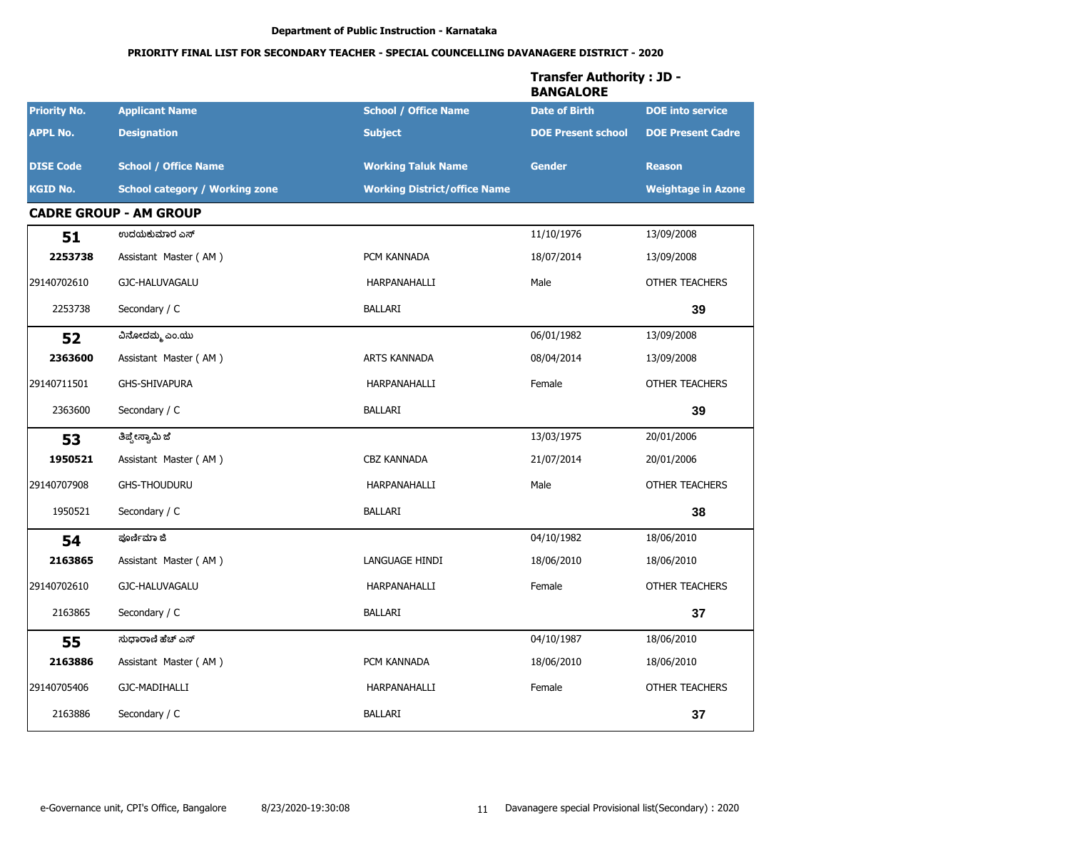|                     |                                       |                                     | <b>Transfer Authority: JD -</b><br><b>BANGALORE</b> |                           |
|---------------------|---------------------------------------|-------------------------------------|-----------------------------------------------------|---------------------------|
| <b>Priority No.</b> | <b>Applicant Name</b>                 | <b>School / Office Name</b>         | <b>Date of Birth</b>                                | <b>DOE</b> into service   |
| <b>APPL No.</b>     | <b>Designation</b>                    | <b>Subject</b>                      | <b>DOE Present school</b>                           | <b>DOE Present Cadre</b>  |
| <b>DISE Code</b>    | <b>School / Office Name</b>           | <b>Working Taluk Name</b>           | <b>Gender</b>                                       | <b>Reason</b>             |
| <b>KGID No.</b>     | <b>School category / Working zone</b> | <b>Working District/office Name</b> |                                                     | <b>Weightage in Azone</b> |
|                     | <b>CADRE GROUP - AM GROUP</b>         |                                     |                                                     |                           |
| 51                  | ಉದಯಕುಮಾರ ಎಸ್                          |                                     | 11/10/1976                                          | 13/09/2008                |
| 2253738             | Assistant Master (AM)                 | PCM KANNADA                         | 18/07/2014                                          | 13/09/2008                |
| 29140702610         | GJC-HALUVAGALU                        | HARPANAHALLI                        | Male                                                | OTHER TEACHERS            |
| 2253738             | Secondary / C                         | <b>BALLARI</b>                      |                                                     | 39                        |
| 52                  | ವಿನೋದಮ್ಮ ಎಂ.ಯು                        |                                     | 06/01/1982                                          | 13/09/2008                |
| 2363600             | Assistant Master (AM)                 | ARTS KANNADA                        | 08/04/2014                                          | 13/09/2008                |
| 29140711501         | <b>GHS-SHIVAPURA</b>                  | HARPANAHALLI                        | Female                                              | <b>OTHER TEACHERS</b>     |
| 2363600             | Secondary / C                         | <b>BALLARI</b>                      |                                                     | 39                        |
| 53                  | ತಿಪ್ಪೇಸ್ವಾಮಿ ಜೆ                       |                                     | 13/03/1975                                          | 20/01/2006                |
| 1950521             | Assistant Master (AM)                 | <b>CBZ KANNADA</b>                  | 21/07/2014                                          | 20/01/2006                |
| 29140707908         | <b>GHS-THOUDURU</b>                   | HARPANAHALLI                        | Male                                                | <b>OTHER TEACHERS</b>     |
| 1950521             | Secondary / C                         | BALLARI                             |                                                     | 38                        |
| 54                  | ಪೂರ್ಣಿಮಾ ಜಿ                           |                                     | 04/10/1982                                          | 18/06/2010                |
| 2163865             | Assistant Master (AM)                 | LANGUAGE HINDI                      | 18/06/2010                                          | 18/06/2010                |
| 29140702610         | GJC-HALUVAGALU                        | HARPANAHALLI                        | Female                                              | <b>OTHER TEACHERS</b>     |
| 2163865             | Secondary / C                         | <b>BALLARI</b>                      |                                                     | 37                        |
| 55                  | ಸುಧಾರಾಣಿ ಹೆಚ್ ಎಸ್                     |                                     | 04/10/1987                                          | 18/06/2010                |
| 2163886             | Assistant Master (AM)                 | PCM KANNADA                         | 18/06/2010                                          | 18/06/2010                |
| 29140705406         | GJC-MADIHALLI                         | HARPANAHALLI                        | Female                                              | OTHER TEACHERS            |
| 2163886             | Secondary / C                         | BALLARI                             |                                                     | 37                        |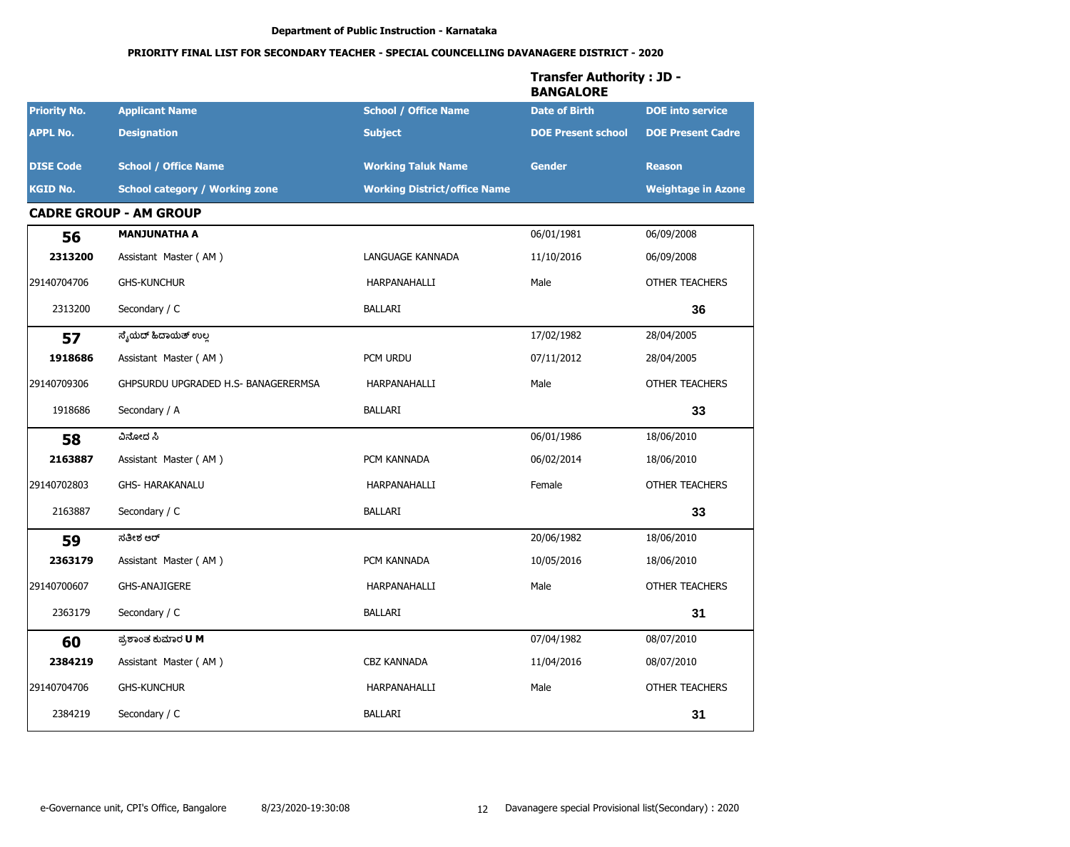|                     |                                       |                                     | <b>Transfer Authority: JD -</b><br><b>BANGALORE</b> |                           |
|---------------------|---------------------------------------|-------------------------------------|-----------------------------------------------------|---------------------------|
| <b>Priority No.</b> | <b>Applicant Name</b>                 | <b>School / Office Name</b>         | <b>Date of Birth</b>                                | <b>DOE</b> into service   |
| <b>APPL No.</b>     | <b>Designation</b>                    | <b>Subject</b>                      | <b>DOE Present school</b>                           | <b>DOE Present Cadre</b>  |
| <b>DISE Code</b>    | <b>School / Office Name</b>           | <b>Working Taluk Name</b>           | <b>Gender</b>                                       | <b>Reason</b>             |
| <b>KGID No.</b>     | <b>School category / Working zone</b> | <b>Working District/office Name</b> |                                                     | <b>Weightage in Azone</b> |
|                     | <b>CADRE GROUP - AM GROUP</b>         |                                     |                                                     |                           |
| 56                  | <b>MANJUNATHA A</b>                   |                                     | 06/01/1981                                          | 06/09/2008                |
| 2313200             | Assistant Master (AM)                 | LANGUAGE KANNADA                    | 11/10/2016                                          | 06/09/2008                |
| 29140704706         | <b>GHS-KUNCHUR</b>                    | HARPANAHALLI                        | Male                                                | <b>OTHER TEACHERS</b>     |
| 2313200             | Secondary / C                         | BALLARI                             |                                                     | 36                        |
| 57                  | ಸೈಯೆದ್ ಹಿದಾಯೆತ್ ಉಲ್ಲ                  |                                     | 17/02/1982                                          | 28/04/2005                |
| 1918686             | Assistant Master (AM)                 | PCM URDU                            | 07/11/2012                                          | 28/04/2005                |
| 29140709306         | GHPSURDU UPGRADED H.S- BANAGERERMSA   | HARPANAHALLI                        | Male                                                | <b>OTHER TEACHERS</b>     |
| 1918686             | Secondary / A                         | BALLARI                             |                                                     | 33                        |
| 58                  | ವಿನೋದ ಸಿ                              |                                     | 06/01/1986                                          | 18/06/2010                |
| 2163887             | Assistant Master (AM)                 | PCM KANNADA                         | 06/02/2014                                          | 18/06/2010                |
| 29140702803         | <b>GHS- HARAKANALU</b>                | HARPANAHALLI                        | Female                                              | <b>OTHER TEACHERS</b>     |
| 2163887             | Secondary / C                         | BALLARI                             |                                                     | 33                        |
| 59                  | ಸತೀಶ ಆರ್                              |                                     | 20/06/1982                                          | 18/06/2010                |
| 2363179             | Assistant Master (AM)                 | PCM KANNADA                         | 10/05/2016                                          | 18/06/2010                |
| 29140700607         | <b>GHS-ANAJIGERE</b>                  | HARPANAHALLI                        | Male                                                | <b>OTHER TEACHERS</b>     |
| 2363179             | Secondary / C                         | <b>BALLARI</b>                      |                                                     | 31                        |
| 60                  | ಪ್ರಶಾಂತ ಕುಮಾರ <b>U</b> M              |                                     | 07/04/1982                                          | 08/07/2010                |
| 2384219             | Assistant Master (AM)                 | CBZ KANNADA                         | 11/04/2016                                          | 08/07/2010                |
| 29140704706         | <b>GHS-KUNCHUR</b>                    | HARPANAHALLI                        | Male                                                | OTHER TEACHERS            |
| 2384219             | Secondary / C                         | BALLARI                             |                                                     | 31                        |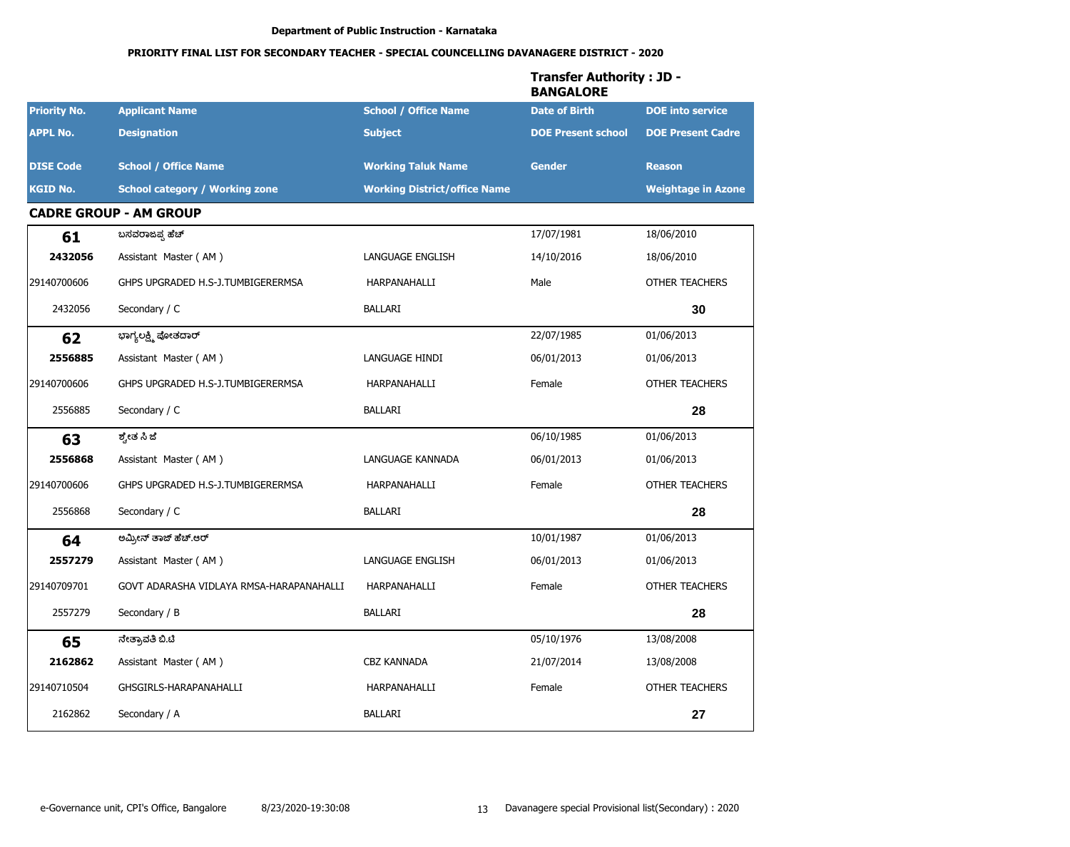|                     |                                          |                                     | <b>Transfer Authority: JD -</b><br><b>BANGALORE</b> |                           |
|---------------------|------------------------------------------|-------------------------------------|-----------------------------------------------------|---------------------------|
| <b>Priority No.</b> | <b>Applicant Name</b>                    | <b>School / Office Name</b>         | <b>Date of Birth</b>                                | <b>DOE</b> into service   |
| <b>APPL No.</b>     | <b>Designation</b>                       | <b>Subject</b>                      | <b>DOE Present school</b>                           | <b>DOE Present Cadre</b>  |
| <b>DISE Code</b>    | <b>School / Office Name</b>              | <b>Working Taluk Name</b>           | <b>Gender</b>                                       | <b>Reason</b>             |
| <b>KGID No.</b>     | <b>School category / Working zone</b>    | <b>Working District/office Name</b> |                                                     | <b>Weightage in Azone</b> |
|                     | <b>CADRE GROUP - AM GROUP</b>            |                                     |                                                     |                           |
| 61                  | ಬಸವರಾಜಪ್ಪ ಹೆಚ್                           |                                     | 17/07/1981                                          | 18/06/2010                |
| 2432056             | Assistant Master (AM)                    | LANGUAGE ENGLISH                    | 14/10/2016                                          | 18/06/2010                |
| 29140700606         | GHPS UPGRADED H.S-J.TUMBIGERERMSA        | HARPANAHALLI                        | Male                                                | <b>OTHER TEACHERS</b>     |
| 2432056             | Secondary / C                            | BALLARI                             |                                                     | 30                        |
| 62                  | ಭಾಗ್ಯಲಕ್ಷ್ಮಿ ಪೋತದಾರ್                     |                                     | 22/07/1985                                          | 01/06/2013                |
| 2556885             | Assistant Master (AM)                    | LANGUAGE HINDI                      | 06/01/2013                                          | 01/06/2013                |
| 29140700606         | GHPS UPGRADED H.S-J.TUMBIGERERMSA        | HARPANAHALLI                        | Female                                              | <b>OTHER TEACHERS</b>     |
| 2556885             | Secondary / C                            | BALLARI                             |                                                     | 28                        |
| 63                  | ಶ್ವೇತ ಸಿ ಜೆ                              |                                     | 06/10/1985                                          | 01/06/2013                |
| 2556868             | Assistant Master (AM)                    | LANGUAGE KANNADA                    | 06/01/2013                                          | 01/06/2013                |
| 29140700606         | GHPS UPGRADED H.S-J.TUMBIGERERMSA        | HARPANAHALLI                        | Female                                              | <b>OTHER TEACHERS</b>     |
| 2556868             | Secondary / C                            | BALLARI                             |                                                     | 28                        |
| 64                  | ಅಮ್ರೀನ್ ತಾಜ್ ಹೆಚ್.ಆರ್                    |                                     | 10/01/1987                                          | 01/06/2013                |
| 2557279             | Assistant Master (AM)                    | LANGUAGE ENGLISH                    | 06/01/2013                                          | 01/06/2013                |
| 29140709701         | GOVT ADARASHA VIDLAYA RMSA-HARAPANAHALLI | HARPANAHALLI                        | Female                                              | <b>OTHER TEACHERS</b>     |
| 2557279             | Secondary / B                            | <b>BALLARI</b>                      |                                                     | 28                        |
| 65                  | ನೇತ್ರಾವತಿ ಬಿ.ಟಿ                          |                                     | 05/10/1976                                          | 13/08/2008                |
| 2162862             | Assistant Master (AM)                    | CBZ KANNADA                         | 21/07/2014                                          | 13/08/2008                |
| 29140710504         | GHSGIRLS-HARAPANAHALLI                   | HARPANAHALLI                        | Female                                              | OTHER TEACHERS            |
| 2162862             | Secondary / A                            | BALLARI                             |                                                     | 27                        |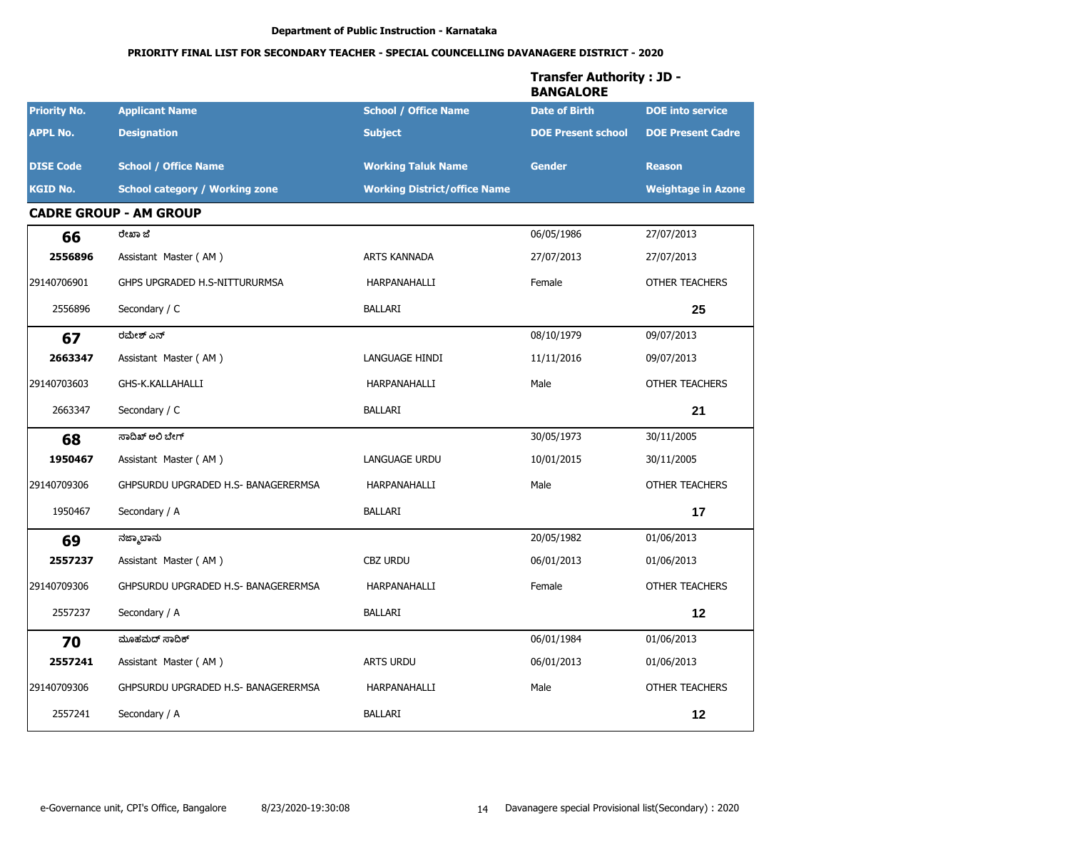|                     |                                       |                                     | <b>Transfer Authority: JD -</b><br><b>BANGALORE</b> |                           |
|---------------------|---------------------------------------|-------------------------------------|-----------------------------------------------------|---------------------------|
| <b>Priority No.</b> | <b>Applicant Name</b>                 | <b>School / Office Name</b>         | <b>Date of Birth</b>                                | <b>DOE</b> into service   |
| <b>APPL No.</b>     | <b>Designation</b>                    | <b>Subject</b>                      | <b>DOE Present school</b>                           | <b>DOE Present Cadre</b>  |
| <b>DISE Code</b>    | <b>School / Office Name</b>           | <b>Working Taluk Name</b>           | <b>Gender</b>                                       | <b>Reason</b>             |
| <b>KGID No.</b>     | <b>School category / Working zone</b> | <b>Working District/office Name</b> |                                                     | <b>Weightage in Azone</b> |
|                     | <b>CADRE GROUP - AM GROUP</b>         |                                     |                                                     |                           |
| 66                  | ರೇಖಾ ಜೆ                               |                                     | 06/05/1986                                          | 27/07/2013                |
| 2556896             | Assistant Master (AM)                 | <b>ARTS KANNADA</b>                 | 27/07/2013                                          | 27/07/2013                |
| 29140706901         | GHPS UPGRADED H.S-NITTURURMSA         | HARPANAHALLI                        | Female                                              | <b>OTHER TEACHERS</b>     |
| 2556896             | Secondary / C                         | <b>BALLARI</b>                      |                                                     | 25                        |
| 67                  | ರಮೇಶ್ ಎನ್                             |                                     | 08/10/1979                                          | 09/07/2013                |
| 2663347             | Assistant Master (AM)                 | LANGUAGE HINDI                      | 11/11/2016                                          | 09/07/2013                |
| 29140703603         | GHS-K.KALLAHALLI                      | HARPANAHALLI                        | Male                                                | <b>OTHER TEACHERS</b>     |
| 2663347             | Secondary / C                         | <b>BALLARI</b>                      |                                                     | 21                        |
| 68                  | ಸಾದಿಖ್ ಅಲಿ ಬೇಗ್                       |                                     | 30/05/1973                                          | 30/11/2005                |
| 1950467             | Assistant Master (AM)                 | <b>LANGUAGE URDU</b>                | 10/01/2015                                          | 30/11/2005                |
| 29140709306         | GHPSURDU UPGRADED H.S- BANAGERERMSA   | HARPANAHALLI                        | Male                                                | <b>OTHER TEACHERS</b>     |
| 1950467             | Secondary / A                         | <b>BALLARI</b>                      |                                                     | 17                        |
| 69                  | ನಜ್ಮಾಬಾನು                             |                                     | 20/05/1982                                          | 01/06/2013                |
| 2557237             | Assistant Master (AM)                 | <b>CBZ URDU</b>                     | 06/01/2013                                          | 01/06/2013                |
| 29140709306         | GHPSURDU UPGRADED H.S- BANAGERERMSA   | HARPANAHALLI                        | Female                                              | <b>OTHER TEACHERS</b>     |
| 2557237             | Secondary / A                         | <b>BALLARI</b>                      |                                                     | 12                        |
| 70                  | ಮೂಹಮದ್ ಸಾದಿಕ್                         |                                     | 06/01/1984                                          | 01/06/2013                |
| 2557241             | Assistant Master (AM)                 | ARTS URDU                           | 06/01/2013                                          | 01/06/2013                |
| 29140709306         | GHPSURDU UPGRADED H.S- BANAGERERMSA   | HARPANAHALLI                        | Male                                                | OTHER TEACHERS            |
| 2557241             | Secondary / A                         | <b>BALLARI</b>                      |                                                     | 12                        |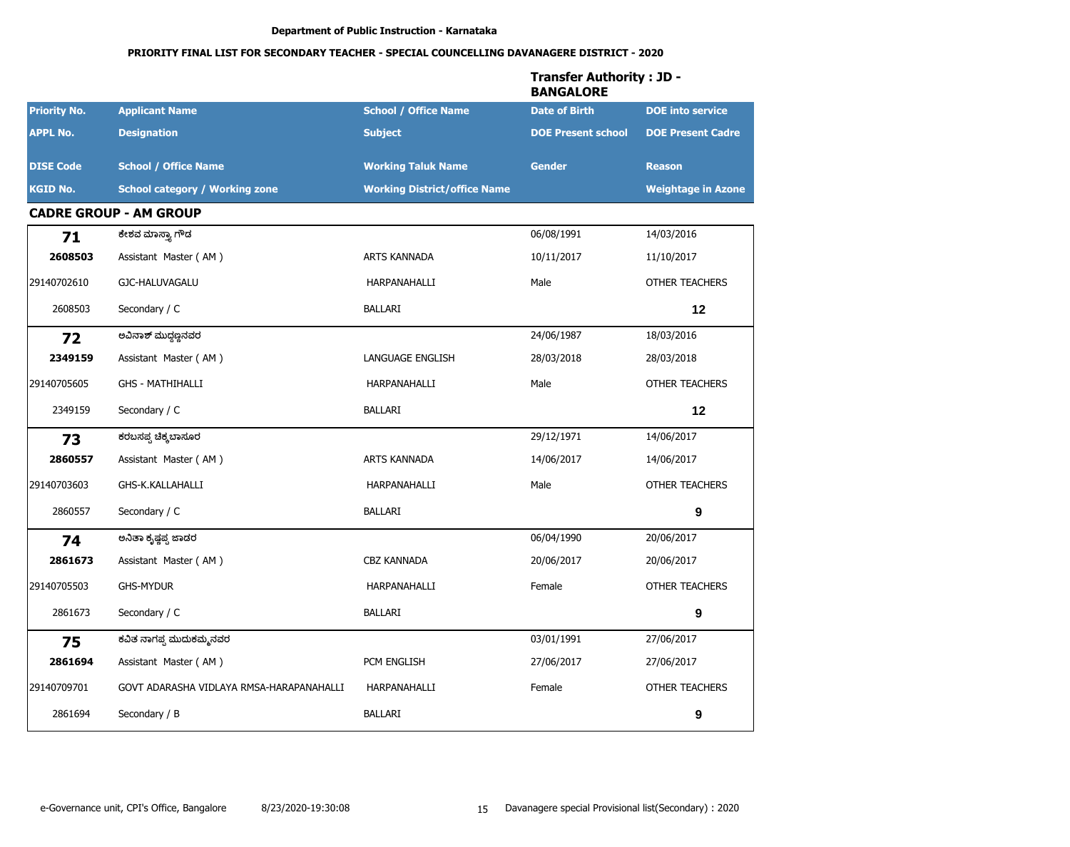|                     |                                          |                                     | <b>Transfer Authority: JD -</b><br><b>BANGALORE</b> |                           |
|---------------------|------------------------------------------|-------------------------------------|-----------------------------------------------------|---------------------------|
| <b>Priority No.</b> | <b>Applicant Name</b>                    | <b>School / Office Name</b>         | <b>Date of Birth</b>                                | <b>DOE</b> into service   |
| <b>APPL No.</b>     | <b>Designation</b>                       | <b>Subject</b>                      | <b>DOE Present school</b>                           | <b>DOE Present Cadre</b>  |
| <b>DISE Code</b>    | <b>School / Office Name</b>              | <b>Working Taluk Name</b>           | <b>Gender</b>                                       | <b>Reason</b>             |
| <b>KGID No.</b>     | <b>School category / Working zone</b>    | <b>Working District/office Name</b> |                                                     | <b>Weightage in Azone</b> |
|                     | <b>CADRE GROUP - AM GROUP</b>            |                                     |                                                     |                           |
| 71                  | ಕೇಶವ ಮಾಸ್ತ್ಯಾ ಗೌಡ                        |                                     | 06/08/1991                                          | 14/03/2016                |
| 2608503             | Assistant Master (AM)                    | <b>ARTS KANNADA</b>                 | 10/11/2017                                          | 11/10/2017                |
| 29140702610         | GJC-HALUVAGALU                           | HARPANAHALLI                        | Male                                                | <b>OTHER TEACHERS</b>     |
| 2608503             | Secondary / C                            | <b>BALLARI</b>                      |                                                     | 12                        |
| 72                  | ಅವಿನಾಶ್ ಮುದ್ಧಣ್ಣನವರ                      |                                     | 24/06/1987                                          | 18/03/2016                |
| 2349159             | Assistant Master (AM)                    | LANGUAGE ENGLISH                    | 28/03/2018                                          | 28/03/2018                |
| 29140705605         | <b>GHS - MATHIHALLI</b>                  | HARPANAHALLI                        | Male                                                | <b>OTHER TEACHERS</b>     |
| 2349159             | Secondary / C                            | <b>BALLARI</b>                      |                                                     | 12                        |
| 73                  | ಕರಬಸಪ್ಪ ಚಿಕ್ಕಬಾಸೂರ                       |                                     | 29/12/1971                                          | 14/06/2017                |
| 2860557             | Assistant Master (AM)                    | ARTS KANNADA                        | 14/06/2017                                          | 14/06/2017                |
| 29140703603         | GHS-K.KALLAHALLI                         | HARPANAHALLI                        | Male                                                | <b>OTHER TEACHERS</b>     |
| 2860557             | Secondary / C                            | BALLARI                             |                                                     | 9                         |
| 74                  | ಅನಿತಾ ಕೃಷ್ಣಪ್ಪ ಜಾಡರ                      |                                     | 06/04/1990                                          | 20/06/2017                |
| 2861673             | Assistant Master (AM)                    | CBZ KANNADA                         | 20/06/2017                                          | 20/06/2017                |
| 29140705503         | <b>GHS-MYDUR</b>                         | HARPANAHALLI                        | Female                                              | <b>OTHER TEACHERS</b>     |
| 2861673             | Secondary / C                            | <b>BALLARI</b>                      |                                                     | 9                         |
| 75                  | ಕವಿತ ನಾಗಪ್ಪ ಮುದುಕಮ್ಮನವರ                  |                                     | 03/01/1991                                          | 27/06/2017                |
| 2861694             | Assistant Master (AM)                    | PCM ENGLISH                         | 27/06/2017                                          | 27/06/2017                |
| 29140709701         | GOVT ADARASHA VIDLAYA RMSA-HARAPANAHALLI | HARPANAHALLI                        | Female                                              | OTHER TEACHERS            |
| 2861694             | Secondary / B                            | BALLARI                             |                                                     | 9                         |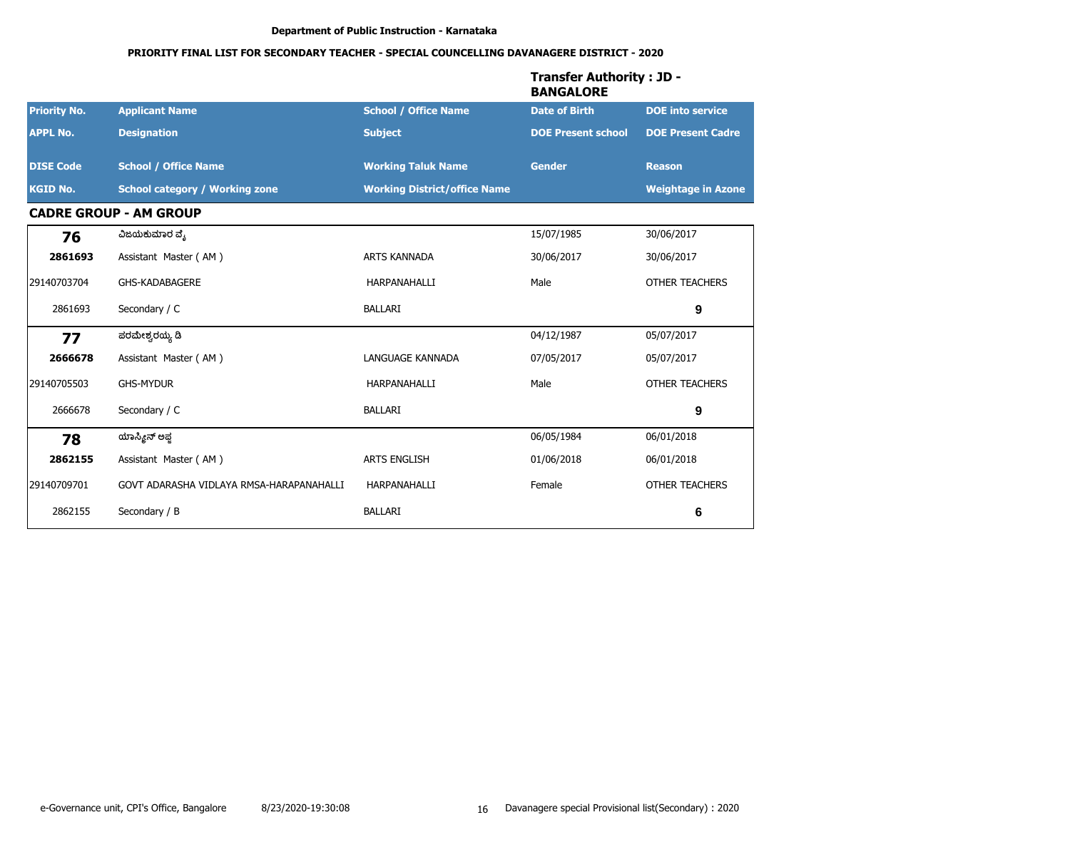|                     |                                          |                                     | <b>Transfer Authority : JD -</b><br><b>BANGALORE</b> |                           |
|---------------------|------------------------------------------|-------------------------------------|------------------------------------------------------|---------------------------|
| <b>Priority No.</b> | <b>Applicant Name</b>                    | <b>School / Office Name</b>         | <b>Date of Birth</b>                                 | <b>DOE</b> into service   |
| <b>APPL No.</b>     | <b>Designation</b>                       | <b>Subject</b>                      | <b>DOE Present school</b>                            | <b>DOE Present Cadre</b>  |
| <b>DISE Code</b>    | <b>School / Office Name</b>              | <b>Working Taluk Name</b>           | <b>Gender</b>                                        | <b>Reason</b>             |
| <b>KGID No.</b>     | <b>School category / Working zone</b>    | <b>Working District/office Name</b> |                                                      | <b>Weightage in Azone</b> |
|                     | <b>CADRE GROUP - AM GROUP</b>            |                                     |                                                      |                           |
| 76                  | ವಿಜಯಕುಮಾರ ವ್ಯೆ                           |                                     | 15/07/1985                                           | 30/06/2017                |
| 2861693             | Assistant Master (AM)                    | <b>ARTS KANNADA</b>                 | 30/06/2017                                           | 30/06/2017                |
| 29140703704         | <b>GHS-KADABAGERE</b>                    | HARPANAHALLI                        | Male                                                 | <b>OTHER TEACHERS</b>     |
| 2861693             | Secondary / C                            | <b>BALLARI</b>                      |                                                      | 9                         |
| 77                  | ಪರಮೇಶ್ವರಯ್ಯ ಡಿ                           |                                     | 04/12/1987                                           | 05/07/2017                |
| 2666678             | Assistant Master (AM)                    | LANGUAGE KANNADA                    | 07/05/2017                                           | 05/07/2017                |
| 29140705503         | <b>GHS-MYDUR</b>                         | HARPANAHALLI                        | Male                                                 | <b>OTHER TEACHERS</b>     |
| 2666678             | Secondary / C                            | <b>BALLARI</b>                      |                                                      | 9                         |
| 78                  | ಯಾಸ್ಮೀನ್ ಅಫ್ತ                            |                                     | 06/05/1984                                           | 06/01/2018                |
| 2862155             | Assistant Master (AM)                    | <b>ARTS ENGLISH</b>                 | 01/06/2018                                           | 06/01/2018                |
| 29140709701         | GOVT ADARASHA VIDLAYA RMSA-HARAPANAHALLI | HARPANAHALLI                        | Female                                               | OTHER TEACHERS            |
| 2862155             | Secondary / B                            | <b>BALLARI</b>                      |                                                      | 6                         |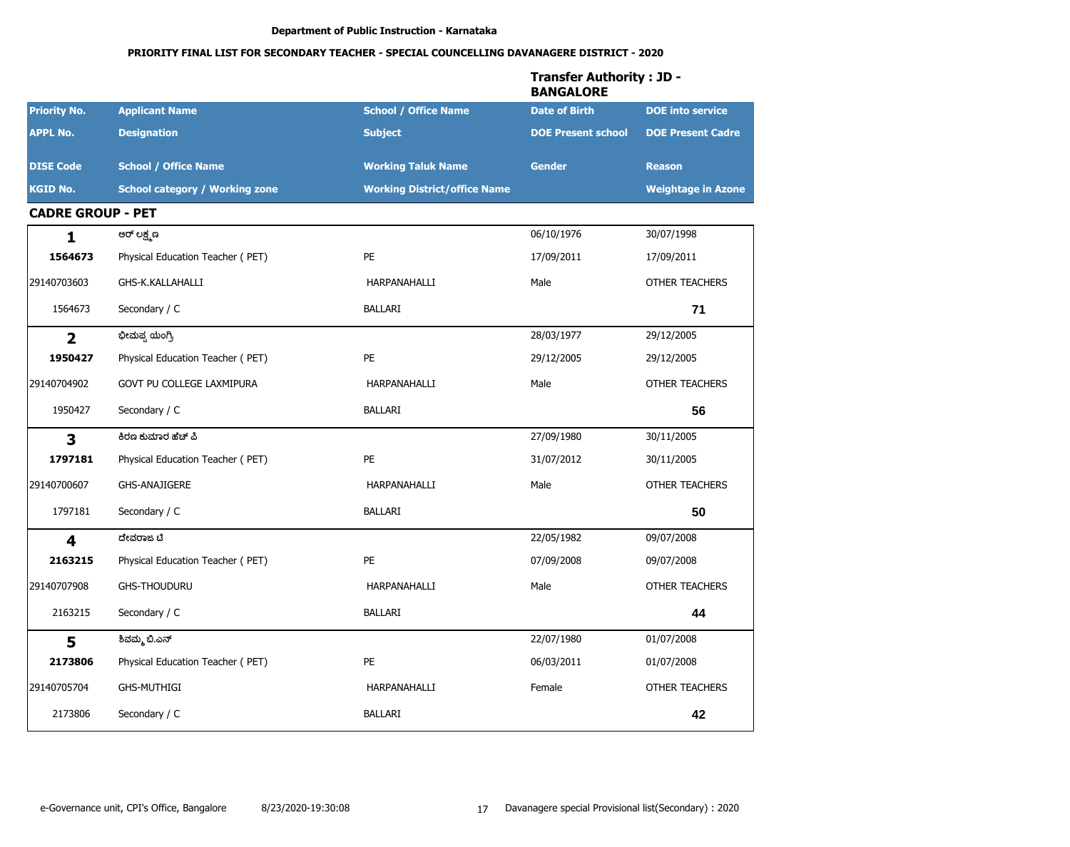|                          |                                       |                                     | <b>Transfer Authority: JD -</b><br><b>BANGALORE</b> |                           |
|--------------------------|---------------------------------------|-------------------------------------|-----------------------------------------------------|---------------------------|
| <b>Priority No.</b>      | <b>Applicant Name</b>                 | <b>School / Office Name</b>         | <b>Date of Birth</b>                                | <b>DOE</b> into service   |
| <b>APPL No.</b>          | <b>Designation</b>                    | <b>Subject</b>                      | <b>DOE Present school</b>                           | <b>DOE Present Cadre</b>  |
| <b>DISE Code</b>         | <b>School / Office Name</b>           | <b>Working Taluk Name</b>           | <b>Gender</b>                                       | <b>Reason</b>             |
| <b>KGID No.</b>          | <b>School category / Working zone</b> | <b>Working District/office Name</b> |                                                     | <b>Weightage in Azone</b> |
| <b>CADRE GROUP - PET</b> |                                       |                                     |                                                     |                           |
| $\mathbf{1}$             | ಆರ್ ಲಕ್ಷ್ಮಣ                           |                                     | 06/10/1976                                          | 30/07/1998                |
| 1564673                  | Physical Education Teacher (PET)      | PE                                  | 17/09/2011                                          | 17/09/2011                |
| 29140703603              | GHS-K.KALLAHALLI                      | HARPANAHALLI                        | Male                                                | <b>OTHER TEACHERS</b>     |
| 1564673                  | Secondary / C                         | <b>BALLARI</b>                      |                                                     | 71                        |
| $\overline{\mathbf{2}}$  | ಭೀಮಪ್ಪ ಯಂಗ್ರಿ                         |                                     | 28/03/1977                                          | 29/12/2005                |
| 1950427                  | Physical Education Teacher (PET)      | <b>PE</b>                           | 29/12/2005                                          | 29/12/2005                |
| 29140704902              | GOVT PU COLLEGE LAXMIPURA             | HARPANAHALLI                        | Male                                                | OTHER TEACHERS            |
| 1950427                  | Secondary / C                         | <b>BALLARI</b>                      |                                                     | 56                        |
| $\overline{\mathbf{3}}$  | ಕಿರಣ ಕುಮಾರ ಹೆಚ್ ಪಿ                    |                                     | 27/09/1980                                          | 30/11/2005                |
| 1797181                  | Physical Education Teacher (PET)      | PE                                  | 31/07/2012                                          | 30/11/2005                |
| 29140700607              | <b>GHS-ANAJIGERE</b>                  | HARPANAHALLI                        | Male                                                | <b>OTHER TEACHERS</b>     |
| 1797181                  | Secondary / C                         | <b>BALLARI</b>                      |                                                     | 50                        |
| $\overline{\mathbf{4}}$  | ದೇವರಾಜ ಟಿ                             |                                     | 22/05/1982                                          | 09/07/2008                |
| 2163215                  | Physical Education Teacher (PET)      | PE                                  | 07/09/2008                                          | 09/07/2008                |
| 29140707908              | <b>GHS-THOUDURU</b>                   | HARPANAHALLI                        | Male                                                | <b>OTHER TEACHERS</b>     |
| 2163215                  | Secondary / C                         | <b>BALLARI</b>                      |                                                     | 44                        |
| 5                        | ಶಿವಮ್ಮ ಬಿ.ಎನ್                         |                                     | 22/07/1980                                          | 01/07/2008                |
| 2173806                  | Physical Education Teacher (PET)      | PE                                  | 06/03/2011                                          | 01/07/2008                |
| 29140705704              | <b>GHS-MUTHIGI</b>                    | HARPANAHALLI                        | Female                                              | OTHER TEACHERS            |
| 2173806                  | Secondary / C                         | <b>BALLARI</b>                      |                                                     | 42                        |